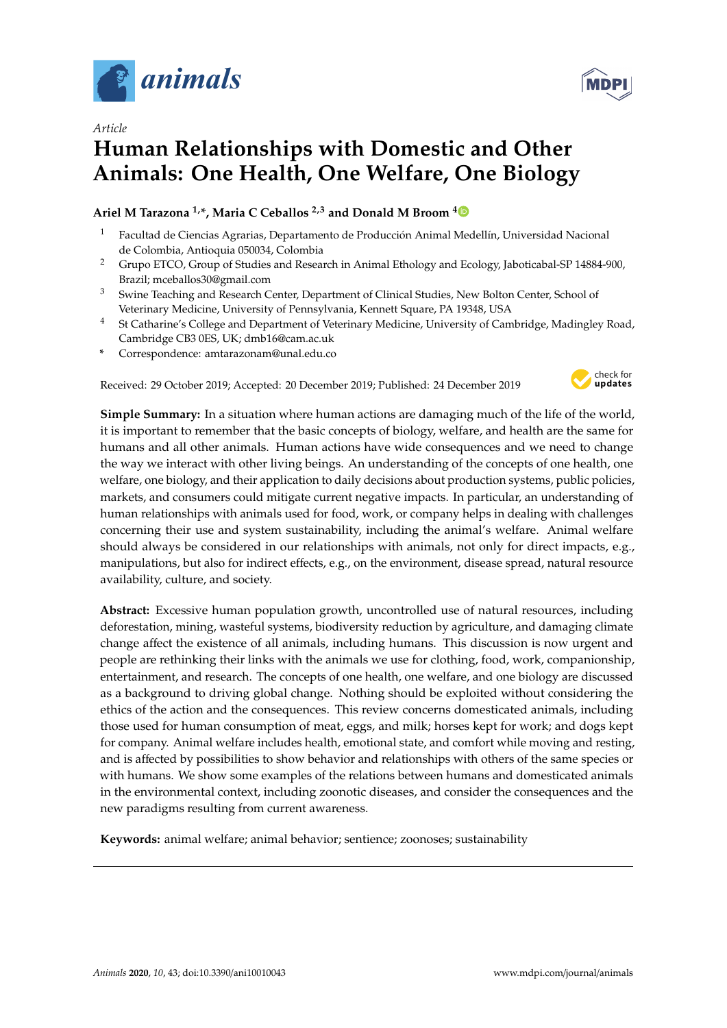

*Article*

# **Human Relationships with Domestic and Other Animals: One Health, One Welfare, One Biology**

# **Ariel M Tarazona 1,\*, Maria C Ceballos 2,3 and Donald M Broom [4](https://orcid.org/0000-0002-1573-7182)**

- <sup>1</sup> Facultad de Ciencias Agrarias, Departamento de Producción Animal Medellín, Universidad Nacional de Colombia, Antioquia 050034, Colombia
- <sup>2</sup> Grupo ETCO, Group of Studies and Research in Animal Ethology and Ecology, Jaboticabal-SP 14884-900, Brazil; mceballos30@gmail.com
- <sup>3</sup> Swine Teaching and Research Center, Department of Clinical Studies, New Bolton Center, School of Veterinary Medicine, University of Pennsylvania, Kennett Square, PA 19348, USA
- <sup>4</sup> St Catharine's College and Department of Veterinary Medicine, University of Cambridge, Madingley Road, Cambridge CB3 0ES, UK; dmb16@cam.ac.uk
- **\*** Correspondence: amtarazonam@unal.edu.co

Received: 29 October 2019; Accepted: 20 December 2019; Published: 24 December 2019



**Simple Summary:** In a situation where human actions are damaging much of the life of the world, it is important to remember that the basic concepts of biology, welfare, and health are the same for humans and all other animals. Human actions have wide consequences and we need to change the way we interact with other living beings. An understanding of the concepts of one health, one welfare, one biology, and their application to daily decisions about production systems, public policies, markets, and consumers could mitigate current negative impacts. In particular, an understanding of human relationships with animals used for food, work, or company helps in dealing with challenges concerning their use and system sustainability, including the animal's welfare. Animal welfare should always be considered in our relationships with animals, not only for direct impacts, e.g., manipulations, but also for indirect effects, e.g., on the environment, disease spread, natural resource availability, culture, and society.

**Abstract:** Excessive human population growth, uncontrolled use of natural resources, including deforestation, mining, wasteful systems, biodiversity reduction by agriculture, and damaging climate change affect the existence of all animals, including humans. This discussion is now urgent and people are rethinking their links with the animals we use for clothing, food, work, companionship, entertainment, and research. The concepts of one health, one welfare, and one biology are discussed as a background to driving global change. Nothing should be exploited without considering the ethics of the action and the consequences. This review concerns domesticated animals, including those used for human consumption of meat, eggs, and milk; horses kept for work; and dogs kept for company. Animal welfare includes health, emotional state, and comfort while moving and resting, and is affected by possibilities to show behavior and relationships with others of the same species or with humans. We show some examples of the relations between humans and domesticated animals in the environmental context, including zoonotic diseases, and consider the consequences and the new paradigms resulting from current awareness.

**Keywords:** animal welfare; animal behavior; sentience; zoonoses; sustainability

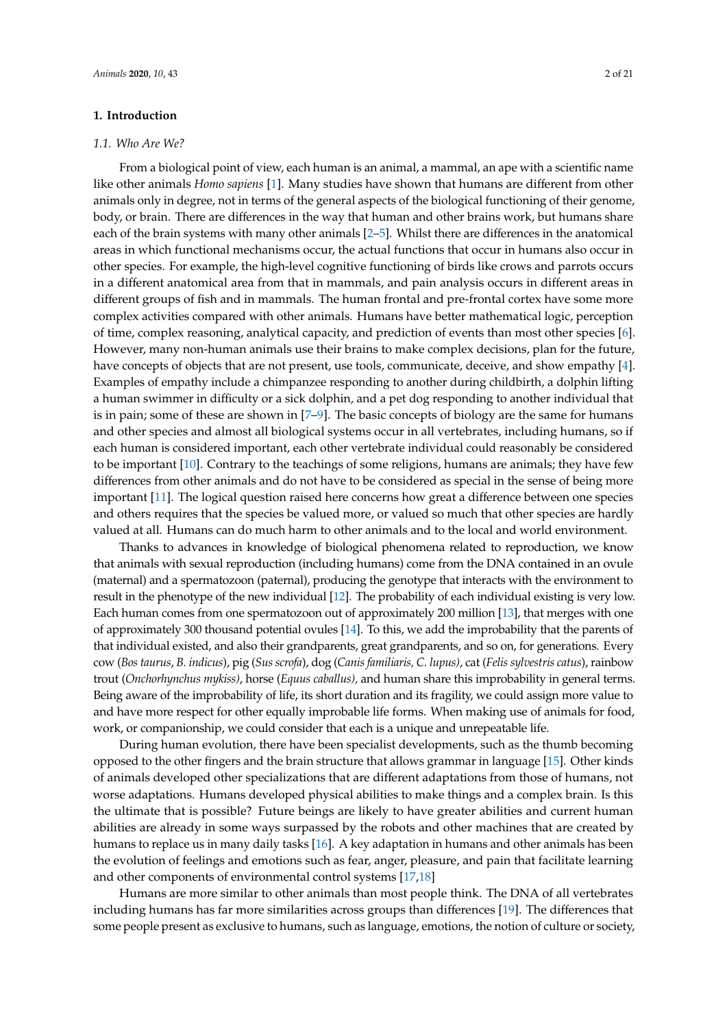## **1. Introduction**

#### *1.1. Who Are We?*

From a biological point of view, each human is an animal, a mammal, an ape with a scientific name like other animals *Homo sapiens* [\[1\]](#page-13-0). Many studies have shown that humans are different from other animals only in degree, not in terms of the general aspects of the biological functioning of their genome, body, or brain. There are differences in the way that human and other brains work, but humans share each of the brain systems with many other animals [\[2–](#page-13-1)[5\]](#page-13-2). Whilst there are differences in the anatomical areas in which functional mechanisms occur, the actual functions that occur in humans also occur in other species. For example, the high-level cognitive functioning of birds like crows and parrots occurs in a different anatomical area from that in mammals, and pain analysis occurs in different areas in different groups of fish and in mammals. The human frontal and pre-frontal cortex have some more complex activities compared with other animals. Humans have better mathematical logic, perception of time, complex reasoning, analytical capacity, and prediction of events than most other species [\[6\]](#page-13-3). However, many non-human animals use their brains to make complex decisions, plan for the future, have concepts of objects that are not present, use tools, communicate, deceive, and show empathy [\[4\]](#page-13-4). Examples of empathy include a chimpanzee responding to another during childbirth, a dolphin lifting a human swimmer in difficulty or a sick dolphin, and a pet dog responding to another individual that is in pain; some of these are shown in [\[7–](#page-13-5)[9\]](#page-13-6). The basic concepts of biology are the same for humans and other species and almost all biological systems occur in all vertebrates, including humans, so if each human is considered important, each other vertebrate individual could reasonably be considered to be important [\[10\]](#page-13-7). Contrary to the teachings of some religions, humans are animals; they have few differences from other animals and do not have to be considered as special in the sense of being more important [\[11\]](#page-13-8). The logical question raised here concerns how great a difference between one species and others requires that the species be valued more, or valued so much that other species are hardly valued at all. Humans can do much harm to other animals and to the local and world environment.

Thanks to advances in knowledge of biological phenomena related to reproduction, we know that animals with sexual reproduction (including humans) come from the DNA contained in an ovule (maternal) and a spermatozoon (paternal), producing the genotype that interacts with the environment to result in the phenotype of the new individual [\[12\]](#page-13-9). The probability of each individual existing is very low. Each human comes from one spermatozoon out of approximately 200 million [\[13\]](#page-13-10), that merges with one of approximately 300 thousand potential ovules [\[14\]](#page-13-11). To this, we add the improbability that the parents of that individual existed, and also their grandparents, great grandparents, and so on, for generations. Every cow (*Bos taurus*, *B. indicus*), pig (*Sus scrofa*), dog (*Canis familiaris, C. lupus)*, cat (*Felis sylvestris catus*), rainbow trout (*Onchorhynchus mykiss)*, horse (*Equus caballus),* and human share this improbability in general terms. Being aware of the improbability of life, its short duration and its fragility, we could assign more value to and have more respect for other equally improbable life forms. When making use of animals for food, work, or companionship, we could consider that each is a unique and unrepeatable life.

During human evolution, there have been specialist developments, such as the thumb becoming opposed to the other fingers and the brain structure that allows grammar in language [\[15\]](#page-13-12). Other kinds of animals developed other specializations that are different adaptations from those of humans, not worse adaptations. Humans developed physical abilities to make things and a complex brain. Is this the ultimate that is possible? Future beings are likely to have greater abilities and current human abilities are already in some ways surpassed by the robots and other machines that are created by humans to replace us in many daily tasks [\[16\]](#page-13-13). A key adaptation in humans and other animals has been the evolution of feelings and emotions such as fear, anger, pleasure, and pain that facilitate learning and other components of environmental control systems [\[17,](#page-13-14)[18\]](#page-13-15)

Humans are more similar to other animals than most people think. The DNA of all vertebrates including humans has far more similarities across groups than differences [\[19\]](#page-13-16). The differences that some people present as exclusive to humans, such as language, emotions, the notion of culture or society,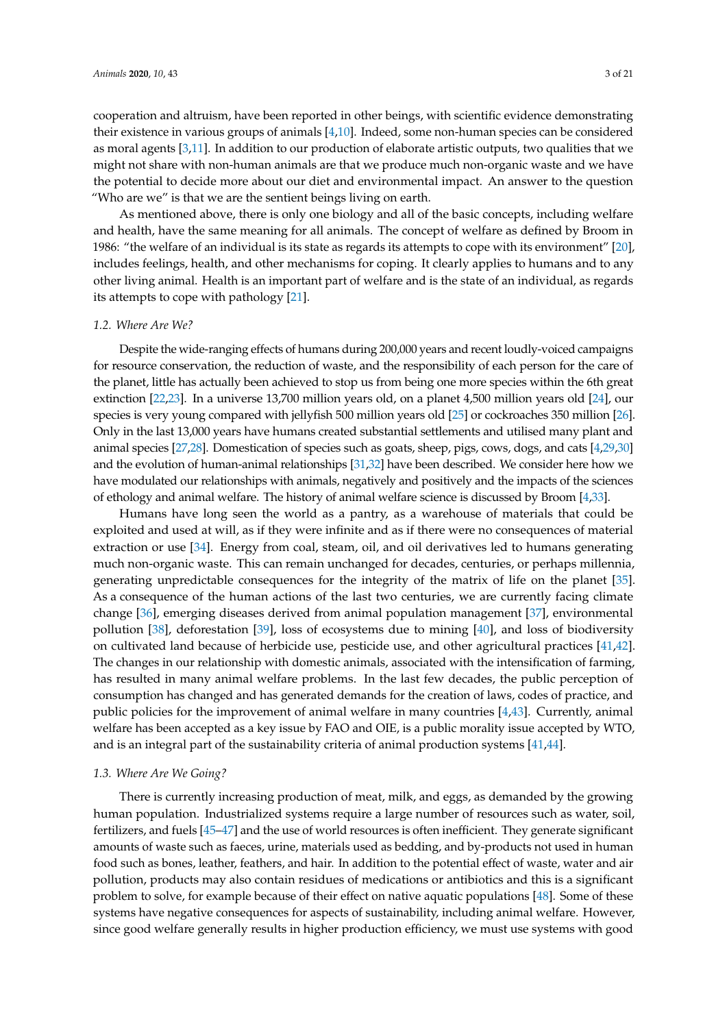cooperation and altruism, have been reported in other beings, with scientific evidence demonstrating their existence in various groups of animals [\[4,](#page-13-4)[10\]](#page-13-7). Indeed, some non-human species can be considered as moral agents [\[3](#page-13-17)[,11\]](#page-13-8). In addition to our production of elaborate artistic outputs, two qualities that we might not share with non-human animals are that we produce much non-organic waste and we have the potential to decide more about our diet and environmental impact. An answer to the question "Who are we" is that we are the sentient beings living on earth.

As mentioned above, there is only one biology and all of the basic concepts, including welfare and health, have the same meaning for all animals. The concept of welfare as defined by Broom in 1986: "the welfare of an individual is its state as regards its attempts to cope with its environment" [\[20\]](#page-13-18), includes feelings, health, and other mechanisms for coping. It clearly applies to humans and to any other living animal. Health is an important part of welfare and is the state of an individual, as regards its attempts to cope with pathology [\[21\]](#page-13-19).

#### *1.2. Where Are We?*

Despite the wide-ranging effects of humans during 200,000 years and recent loudly-voiced campaigns for resource conservation, the reduction of waste, and the responsibility of each person for the care of the planet, little has actually been achieved to stop us from being one more species within the 6th great extinction [\[22](#page-13-20)[,23\]](#page-13-21). In a universe 13,700 million years old, on a planet 4,500 million years old [\[24\]](#page-14-0), our species is very young compared with jellyfish 500 million years old [\[25\]](#page-14-1) or cockroaches 350 million [\[26\]](#page-14-2). Only in the last 13,000 years have humans created substantial settlements and utilised many plant and animal species [\[27,](#page-14-3)[28\]](#page-14-4). Domestication of species such as goats, sheep, pigs, cows, dogs, and cats [\[4,](#page-13-4)[29,](#page-14-5)[30\]](#page-14-6) and the evolution of human-animal relationships [\[31,](#page-14-7)[32\]](#page-14-8) have been described. We consider here how we have modulated our relationships with animals, negatively and positively and the impacts of the sciences of ethology and animal welfare. The history of animal welfare science is discussed by Broom [\[4](#page-13-4)[,33\]](#page-14-9).

Humans have long seen the world as a pantry, as a warehouse of materials that could be exploited and used at will, as if they were infinite and as if there were no consequences of material extraction or use [\[34\]](#page-14-10). Energy from coal, steam, oil, and oil derivatives led to humans generating much non-organic waste. This can remain unchanged for decades, centuries, or perhaps millennia, generating unpredictable consequences for the integrity of the matrix of life on the planet [\[35\]](#page-14-11). As a consequence of the human actions of the last two centuries, we are currently facing climate change [\[36\]](#page-14-12), emerging diseases derived from animal population management [\[37\]](#page-14-13), environmental pollution [\[38\]](#page-14-14), deforestation [\[39\]](#page-14-15), loss of ecosystems due to mining [\[40\]](#page-14-16), and loss of biodiversity on cultivated land because of herbicide use, pesticide use, and other agricultural practices [\[41,](#page-14-17)[42\]](#page-14-18). The changes in our relationship with domestic animals, associated with the intensification of farming, has resulted in many animal welfare problems. In the last few decades, the public perception of consumption has changed and has generated demands for the creation of laws, codes of practice, and public policies for the improvement of animal welfare in many countries [\[4](#page-13-4)[,43\]](#page-14-19). Currently, animal welfare has been accepted as a key issue by FAO and OIE, is a public morality issue accepted by WTO, and is an integral part of the sustainability criteria of animal production systems [\[41](#page-14-17)[,44\]](#page-14-20).

#### *1.3. Where Are We Going?*

There is currently increasing production of meat, milk, and eggs, as demanded by the growing human population. Industrialized systems require a large number of resources such as water, soil, fertilizers, and fuels [\[45–](#page-14-21)[47\]](#page-14-22) and the use of world resources is often inefficient. They generate significant amounts of waste such as faeces, urine, materials used as bedding, and by-products not used in human food such as bones, leather, feathers, and hair. In addition to the potential effect of waste, water and air pollution, products may also contain residues of medications or antibiotics and this is a significant problem to solve, for example because of their effect on native aquatic populations [\[48\]](#page-14-23). Some of these systems have negative consequences for aspects of sustainability, including animal welfare. However, since good welfare generally results in higher production efficiency, we must use systems with good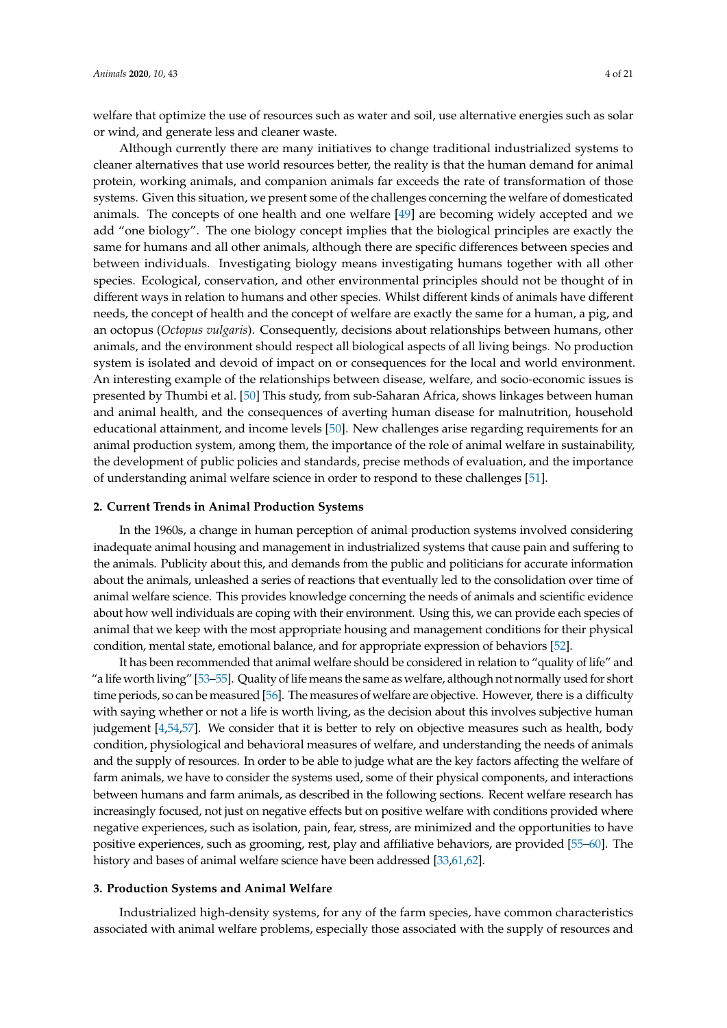welfare that optimize the use of resources such as water and soil, use alternative energies such as solar or wind, and generate less and cleaner waste.

Although currently there are many initiatives to change traditional industrialized systems to cleaner alternatives that use world resources better, the reality is that the human demand for animal protein, working animals, and companion animals far exceeds the rate of transformation of those systems. Given this situation, we present some of the challenges concerning the welfare of domesticated animals. The concepts of one health and one welfare [\[49\]](#page-14-24) are becoming widely accepted and we add "one biology". The one biology concept implies that the biological principles are exactly the same for humans and all other animals, although there are specific differences between species and between individuals. Investigating biology means investigating humans together with all other species. Ecological, conservation, and other environmental principles should not be thought of in different ways in relation to humans and other species. Whilst different kinds of animals have different needs, the concept of health and the concept of welfare are exactly the same for a human, a pig, and an octopus (*Octopus vulgaris*). Consequently, decisions about relationships between humans, other animals, and the environment should respect all biological aspects of all living beings. No production system is isolated and devoid of impact on or consequences for the local and world environment. An interesting example of the relationships between disease, welfare, and socio-economic issues is presented by Thumbi et al. [\[50\]](#page-15-0) This study, from sub-Saharan Africa, shows linkages between human and animal health, and the consequences of averting human disease for malnutrition, household educational attainment, and income levels [\[50\]](#page-15-0). New challenges arise regarding requirements for an animal production system, among them, the importance of the role of animal welfare in sustainability, the development of public policies and standards, precise methods of evaluation, and the importance of understanding animal welfare science in order to respond to these challenges [\[51\]](#page-15-1).

#### **2. Current Trends in Animal Production Systems**

In the 1960s, a change in human perception of animal production systems involved considering inadequate animal housing and management in industrialized systems that cause pain and suffering to the animals. Publicity about this, and demands from the public and politicians for accurate information about the animals, unleashed a series of reactions that eventually led to the consolidation over time of animal welfare science. This provides knowledge concerning the needs of animals and scientific evidence about how well individuals are coping with their environment. Using this, we can provide each species of animal that we keep with the most appropriate housing and management conditions for their physical condition, mental state, emotional balance, and for appropriate expression of behaviors [\[52\]](#page-15-2).

It has been recommended that animal welfare should be considered in relation to "quality of life" and "a life worth living" [\[53–](#page-15-3)[55\]](#page-15-4). Quality of life means the same as welfare, although not normally used for short time periods, so can be measured [\[56\]](#page-15-5). The measures of welfare are objective. However, there is a difficulty with saying whether or not a life is worth living, as the decision about this involves subjective human judgement [\[4](#page-13-4)[,54](#page-15-6)[,57\]](#page-15-7). We consider that it is better to rely on objective measures such as health, body condition, physiological and behavioral measures of welfare, and understanding the needs of animals and the supply of resources. In order to be able to judge what are the key factors affecting the welfare of farm animals, we have to consider the systems used, some of their physical components, and interactions between humans and farm animals, as described in the following sections. Recent welfare research has increasingly focused, not just on negative effects but on positive welfare with conditions provided where negative experiences, such as isolation, pain, fear, stress, are minimized and the opportunities to have positive experiences, such as grooming, rest, play and affiliative behaviors, are provided [\[55–](#page-15-4)[60\]](#page-15-8). The history and bases of animal welfare science have been addressed [\[33,](#page-14-9)[61,](#page-15-9)[62\]](#page-15-10).

## **3. Production Systems and Animal Welfare**

Industrialized high-density systems, for any of the farm species, have common characteristics associated with animal welfare problems, especially those associated with the supply of resources and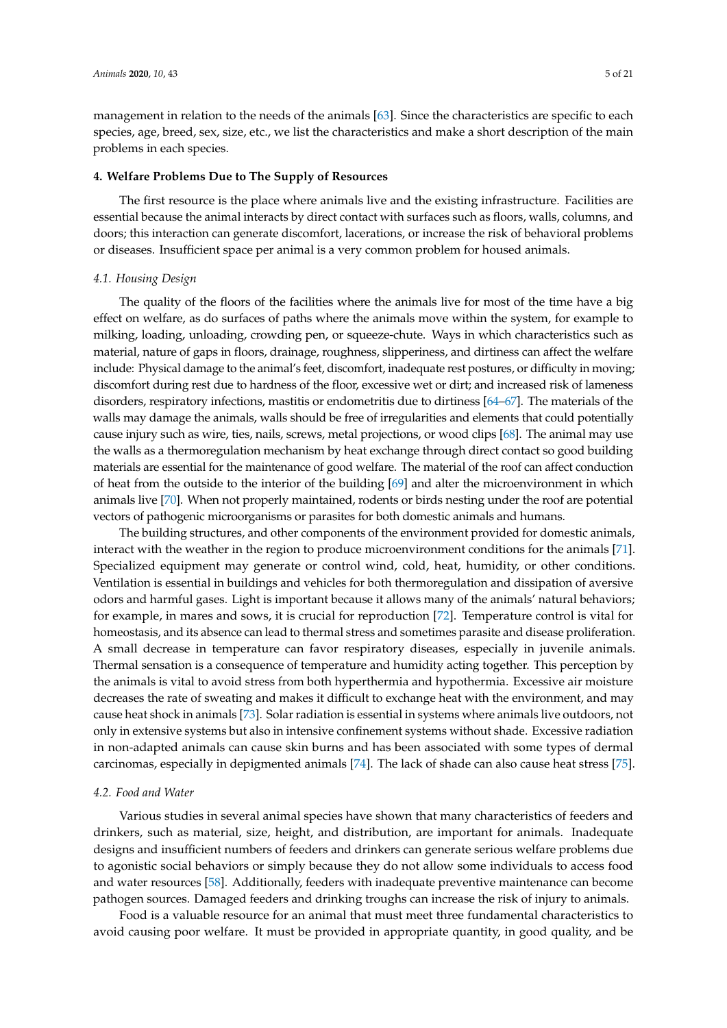management in relation to the needs of the animals [\[63\]](#page-15-11). Since the characteristics are specific to each species, age, breed, sex, size, etc., we list the characteristics and make a short description of the main problems in each species.

#### **4. Welfare Problems Due to The Supply of Resources**

The first resource is the place where animals live and the existing infrastructure. Facilities are essential because the animal interacts by direct contact with surfaces such as floors, walls, columns, and doors; this interaction can generate discomfort, lacerations, or increase the risk of behavioral problems or diseases. Insufficient space per animal is a very common problem for housed animals.

#### *4.1. Housing Design*

The quality of the floors of the facilities where the animals live for most of the time have a big effect on welfare, as do surfaces of paths where the animals move within the system, for example to milking, loading, unloading, crowding pen, or squeeze-chute. Ways in which characteristics such as material, nature of gaps in floors, drainage, roughness, slipperiness, and dirtiness can affect the welfare include: Physical damage to the animal's feet, discomfort, inadequate rest postures, or difficulty in moving; discomfort during rest due to hardness of the floor, excessive wet or dirt; and increased risk of lameness disorders, respiratory infections, mastitis or endometritis due to dirtiness [\[64–](#page-15-12)[67\]](#page-15-13). The materials of the walls may damage the animals, walls should be free of irregularities and elements that could potentially cause injury such as wire, ties, nails, screws, metal projections, or wood clips [\[68\]](#page-15-14). The animal may use the walls as a thermoregulation mechanism by heat exchange through direct contact so good building materials are essential for the maintenance of good welfare. The material of the roof can affect conduction of heat from the outside to the interior of the building [\[69\]](#page-15-15) and alter the microenvironment in which animals live [\[70\]](#page-15-16). When not properly maintained, rodents or birds nesting under the roof are potential vectors of pathogenic microorganisms or parasites for both domestic animals and humans.

The building structures, and other components of the environment provided for domestic animals, interact with the weather in the region to produce microenvironment conditions for the animals [\[71\]](#page-15-17). Specialized equipment may generate or control wind, cold, heat, humidity, or other conditions. Ventilation is essential in buildings and vehicles for both thermoregulation and dissipation of aversive odors and harmful gases. Light is important because it allows many of the animals' natural behaviors; for example, in mares and sows, it is crucial for reproduction [\[72\]](#page-16-0). Temperature control is vital for homeostasis, and its absence can lead to thermal stress and sometimes parasite and disease proliferation. A small decrease in temperature can favor respiratory diseases, especially in juvenile animals. Thermal sensation is a consequence of temperature and humidity acting together. This perception by the animals is vital to avoid stress from both hyperthermia and hypothermia. Excessive air moisture decreases the rate of sweating and makes it difficult to exchange heat with the environment, and may cause heat shock in animals [\[73\]](#page-16-1). Solar radiation is essential in systems where animals live outdoors, not only in extensive systems but also in intensive confinement systems without shade. Excessive radiation in non-adapted animals can cause skin burns and has been associated with some types of dermal carcinomas, especially in depigmented animals [\[74\]](#page-16-2). The lack of shade can also cause heat stress [\[75\]](#page-16-3).

#### *4.2. Food and Water*

Various studies in several animal species have shown that many characteristics of feeders and drinkers, such as material, size, height, and distribution, are important for animals. Inadequate designs and insufficient numbers of feeders and drinkers can generate serious welfare problems due to agonistic social behaviors or simply because they do not allow some individuals to access food and water resources [\[58\]](#page-15-18). Additionally, feeders with inadequate preventive maintenance can become pathogen sources. Damaged feeders and drinking troughs can increase the risk of injury to animals.

Food is a valuable resource for an animal that must meet three fundamental characteristics to avoid causing poor welfare. It must be provided in appropriate quantity, in good quality, and be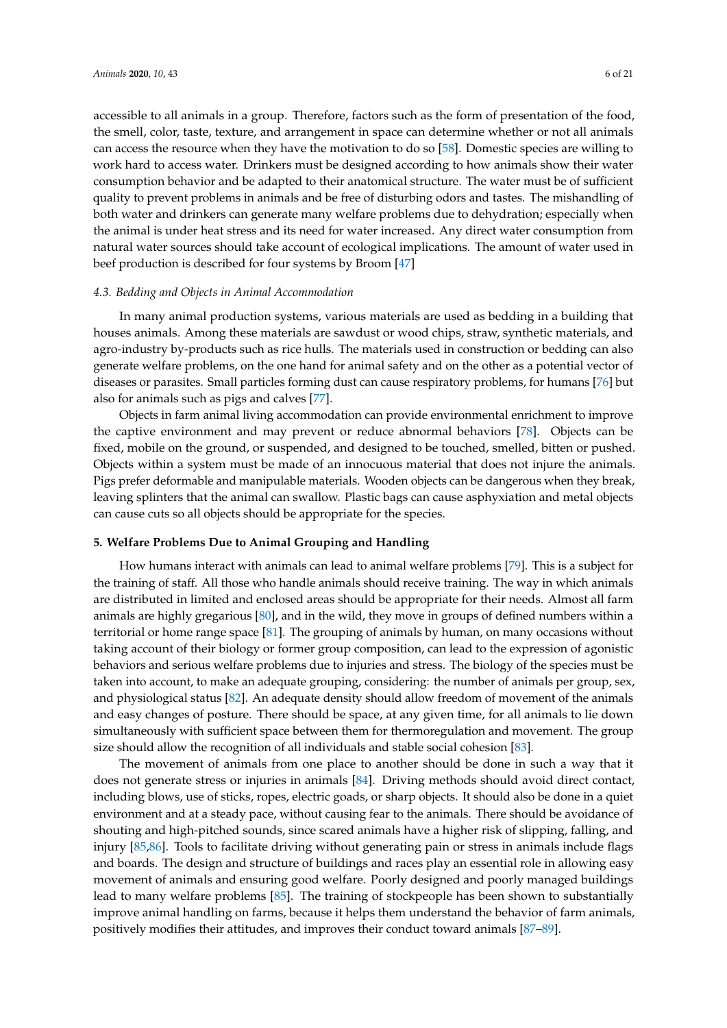accessible to all animals in a group. Therefore, factors such as the form of presentation of the food, the smell, color, taste, texture, and arrangement in space can determine whether or not all animals can access the resource when they have the motivation to do so [\[58\]](#page-15-18). Domestic species are willing to work hard to access water. Drinkers must be designed according to how animals show their water consumption behavior and be adapted to their anatomical structure. The water must be of sufficient quality to prevent problems in animals and be free of disturbing odors and tastes. The mishandling of both water and drinkers can generate many welfare problems due to dehydration; especially when the animal is under heat stress and its need for water increased. Any direct water consumption from natural water sources should take account of ecological implications. The amount of water used in beef production is described for four systems by Broom [\[47\]](#page-14-22)

## *4.3. Bedding and Objects in Animal Accommodation*

In many animal production systems, various materials are used as bedding in a building that houses animals. Among these materials are sawdust or wood chips, straw, synthetic materials, and agro-industry by-products such as rice hulls. The materials used in construction or bedding can also generate welfare problems, on the one hand for animal safety and on the other as a potential vector of diseases or parasites. Small particles forming dust can cause respiratory problems, for humans [\[76\]](#page-16-4) but also for animals such as pigs and calves [\[77\]](#page-16-5).

Objects in farm animal living accommodation can provide environmental enrichment to improve the captive environment and may prevent or reduce abnormal behaviors [\[78\]](#page-16-6). Objects can be fixed, mobile on the ground, or suspended, and designed to be touched, smelled, bitten or pushed. Objects within a system must be made of an innocuous material that does not injure the animals. Pigs prefer deformable and manipulable materials. Wooden objects can be dangerous when they break, leaving splinters that the animal can swallow. Plastic bags can cause asphyxiation and metal objects can cause cuts so all objects should be appropriate for the species.

## **5. Welfare Problems Due to Animal Grouping and Handling**

How humans interact with animals can lead to animal welfare problems [\[79\]](#page-16-7). This is a subject for the training of staff. All those who handle animals should receive training. The way in which animals are distributed in limited and enclosed areas should be appropriate for their needs. Almost all farm animals are highly gregarious [\[80\]](#page-16-8), and in the wild, they move in groups of defined numbers within a territorial or home range space [\[81\]](#page-16-9). The grouping of animals by human, on many occasions without taking account of their biology or former group composition, can lead to the expression of agonistic behaviors and serious welfare problems due to injuries and stress. The biology of the species must be taken into account, to make an adequate grouping, considering: the number of animals per group, sex, and physiological status [\[82\]](#page-16-10). An adequate density should allow freedom of movement of the animals and easy changes of posture. There should be space, at any given time, for all animals to lie down simultaneously with sufficient space between them for thermoregulation and movement. The group size should allow the recognition of all individuals and stable social cohesion [\[83\]](#page-16-11).

The movement of animals from one place to another should be done in such a way that it does not generate stress or injuries in animals [\[84\]](#page-16-12). Driving methods should avoid direct contact, including blows, use of sticks, ropes, electric goads, or sharp objects. It should also be done in a quiet environment and at a steady pace, without causing fear to the animals. There should be avoidance of shouting and high-pitched sounds, since scared animals have a higher risk of slipping, falling, and injury [\[85](#page-16-13)[,86\]](#page-16-14). Tools to facilitate driving without generating pain or stress in animals include flags and boards. The design and structure of buildings and races play an essential role in allowing easy movement of animals and ensuring good welfare. Poorly designed and poorly managed buildings lead to many welfare problems [\[85\]](#page-16-13). The training of stockpeople has been shown to substantially improve animal handling on farms, because it helps them understand the behavior of farm animals, positively modifies their attitudes, and improves their conduct toward animals [\[87–](#page-16-15)[89\]](#page-16-16).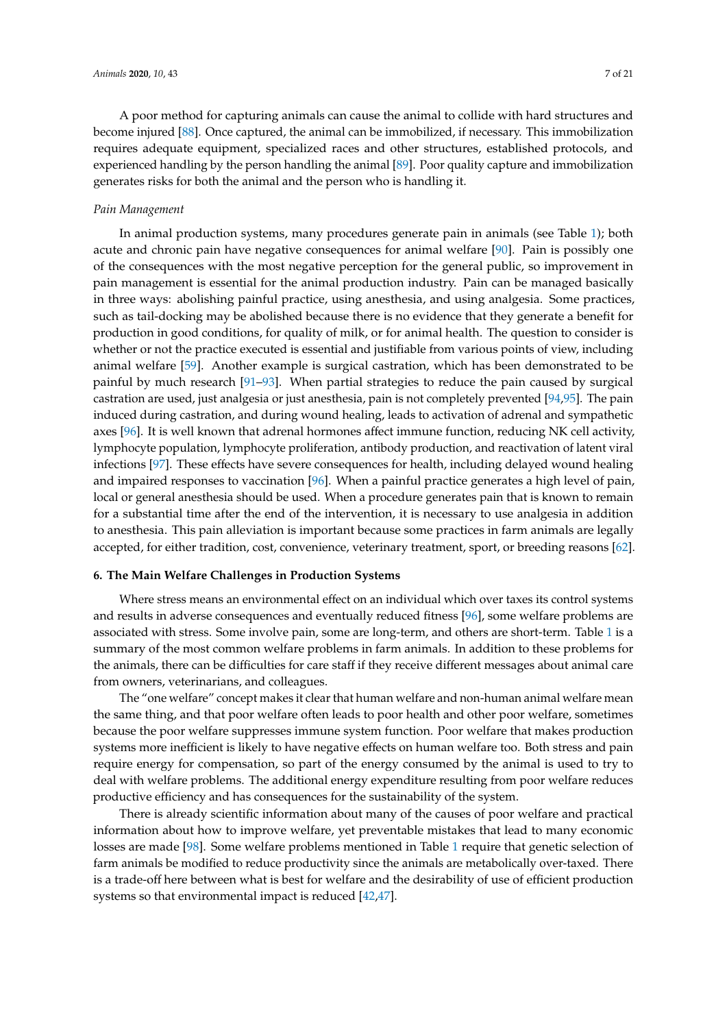A poor method for capturing animals can cause the animal to collide with hard structures and become injured [\[88\]](#page-16-17). Once captured, the animal can be immobilized, if necessary. This immobilization requires adequate equipment, specialized races and other structures, established protocols, and experienced handling by the person handling the animal [\[89\]](#page-16-16). Poor quality capture and immobilization generates risks for both the animal and the person who is handling it.

#### *Pain Management*

In animal production systems, many procedures generate pain in animals (see Table [1\)](#page-7-0); both acute and chronic pain have negative consequences for animal welfare [\[90\]](#page-16-18). Pain is possibly one of the consequences with the most negative perception for the general public, so improvement in pain management is essential for the animal production industry. Pain can be managed basically in three ways: abolishing painful practice, using anesthesia, and using analgesia. Some practices, such as tail-docking may be abolished because there is no evidence that they generate a benefit for production in good conditions, for quality of milk, or for animal health. The question to consider is whether or not the practice executed is essential and justifiable from various points of view, including animal welfare [\[59\]](#page-15-19). Another example is surgical castration, which has been demonstrated to be painful by much research [\[91](#page-16-19)[–93\]](#page-16-20). When partial strategies to reduce the pain caused by surgical castration are used, just analgesia or just anesthesia, pain is not completely prevented [\[94,](#page-17-0)[95\]](#page-17-1). The pain induced during castration, and during wound healing, leads to activation of adrenal and sympathetic axes [\[96\]](#page-17-2). It is well known that adrenal hormones affect immune function, reducing NK cell activity, lymphocyte population, lymphocyte proliferation, antibody production, and reactivation of latent viral infections [\[97\]](#page-17-3). These effects have severe consequences for health, including delayed wound healing and impaired responses to vaccination [\[96\]](#page-17-2). When a painful practice generates a high level of pain, local or general anesthesia should be used. When a procedure generates pain that is known to remain for a substantial time after the end of the intervention, it is necessary to use analgesia in addition to anesthesia. This pain alleviation is important because some practices in farm animals are legally accepted, for either tradition, cost, convenience, veterinary treatment, sport, or breeding reasons [\[62\]](#page-15-10).

#### **6. The Main Welfare Challenges in Production Systems**

Where stress means an environmental effect on an individual which over taxes its control systems and results in adverse consequences and eventually reduced fitness [\[96\]](#page-17-2), some welfare problems are associated with stress. Some involve pain, some are long-term, and others are short-term. Table [1](#page-7-0) is a summary of the most common welfare problems in farm animals. In addition to these problems for the animals, there can be difficulties for care staff if they receive different messages about animal care from owners, veterinarians, and colleagues.

The "one welfare" concept makes it clear that human welfare and non-human animal welfare mean the same thing, and that poor welfare often leads to poor health and other poor welfare, sometimes because the poor welfare suppresses immune system function. Poor welfare that makes production systems more inefficient is likely to have negative effects on human welfare too. Both stress and pain require energy for compensation, so part of the energy consumed by the animal is used to try to deal with welfare problems. The additional energy expenditure resulting from poor welfare reduces productive efficiency and has consequences for the sustainability of the system.

There is already scientific information about many of the causes of poor welfare and practical information about how to improve welfare, yet preventable mistakes that lead to many economic losses are made [\[98\]](#page-17-4). Some welfare problems mentioned in Table [1](#page-7-0) require that genetic selection of farm animals be modified to reduce productivity since the animals are metabolically over-taxed. There is a trade-off here between what is best for welfare and the desirability of use of efficient production systems so that environmental impact is reduced [\[42,](#page-14-18)[47\]](#page-14-22).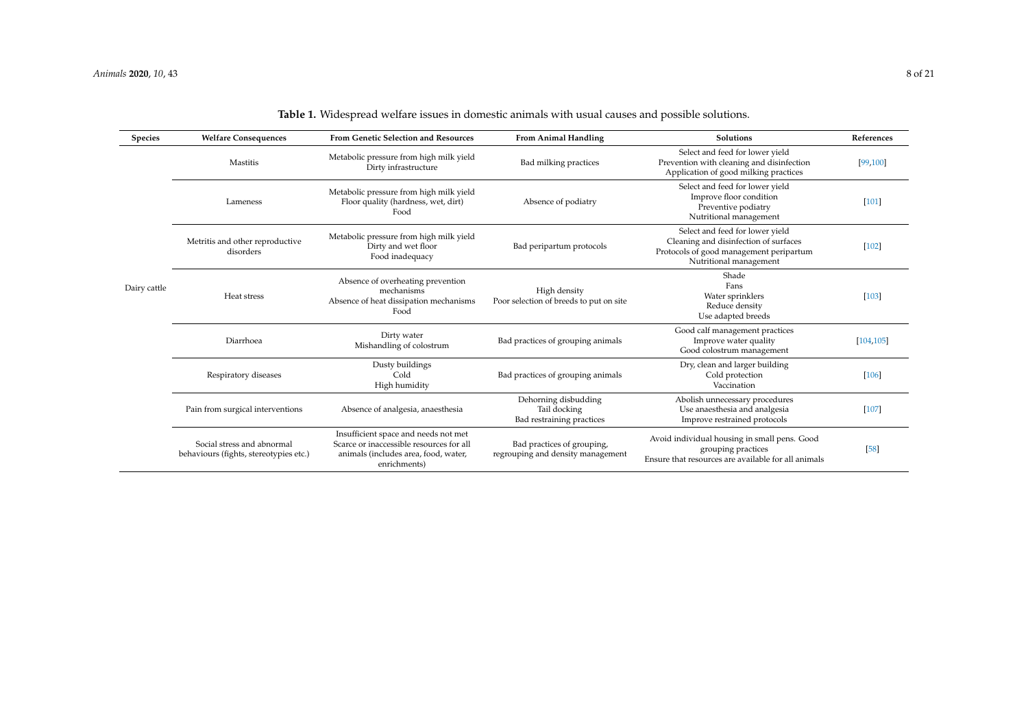<span id="page-7-0"></span>

| Species      | <b>Welfare Consequences</b>                                          | <b>From Genetic Selection and Resources</b>                                                                                              | From Animal Handling                                              | <b>Solutions</b>                                                                                                                              | References |
|--------------|----------------------------------------------------------------------|------------------------------------------------------------------------------------------------------------------------------------------|-------------------------------------------------------------------|-----------------------------------------------------------------------------------------------------------------------------------------------|------------|
|              | Mastitis                                                             | Metabolic pressure from high milk yield<br>Dirty infrastructure                                                                          | Bad milking practices                                             | Select and feed for lower yield<br>Prevention with cleaning and disinfection<br>Application of good milking practices                         | [99, 100]  |
|              | Lameness                                                             | Metabolic pressure from high milk yield<br>Floor quality (hardness, wet, dirt)<br>Food                                                   | Absence of podiatry                                               | Select and feed for lower yield<br>Improve floor condition<br>Preventive podiatry<br>Nutritional management                                   | $[101]$    |
|              | Metritis and other reproductive<br>disorders                         | Metabolic pressure from high milk yield<br>Dirty and wet floor<br>Food inadequacy                                                        | Bad peripartum protocols                                          | Select and feed for lower yield<br>Cleaning and disinfection of surfaces<br>Protocols of good management peripartum<br>Nutritional management | $[102]$    |
| Dairy cattle | Heat stress                                                          | Absence of overheating prevention<br>mechanisms<br>Absence of heat dissipation mechanisms<br>Food                                        | High density<br>Poor selection of breeds to put on site           | Shade<br>Fans<br>Water sprinklers<br>Reduce density<br>Use adapted breeds                                                                     | $[103]$    |
|              | Diarrhoea                                                            | Dirty water<br>Mishandling of colostrum                                                                                                  | Bad practices of grouping animals                                 | Good calf management practices<br>Improve water quality<br>Good colostrum management                                                          | [104, 105] |
|              | Respiratory diseases                                                 | Dusty buildings<br>Cold<br>High humidity                                                                                                 | Bad practices of grouping animals                                 | Dry, clean and larger building<br>Cold protection<br>Vaccination                                                                              | $[106]$    |
|              | Pain from surgical interventions                                     | Absence of analgesia, anaesthesia                                                                                                        | Dehorning disbudding<br>Tail docking<br>Bad restraining practices | Abolish unnecessary procedures<br>Use anaesthesia and analgesia<br>Improve restrained protocols                                               | $[107]$    |
|              | Social stress and abnormal<br>behaviours (fights, stereotypies etc.) | Insufficient space and needs not met<br>Scarce or inaccessible resources for all<br>animals (includes area, food, water,<br>enrichments) | Bad practices of grouping,<br>regrouping and density management   | Avoid individual housing in small pens. Good<br>grouping practices<br>Ensure that resources are available for all animals                     | $[58]$     |

## **Table 1.** Widespread welfare issues in domestic animals with usual causes and possible solutions.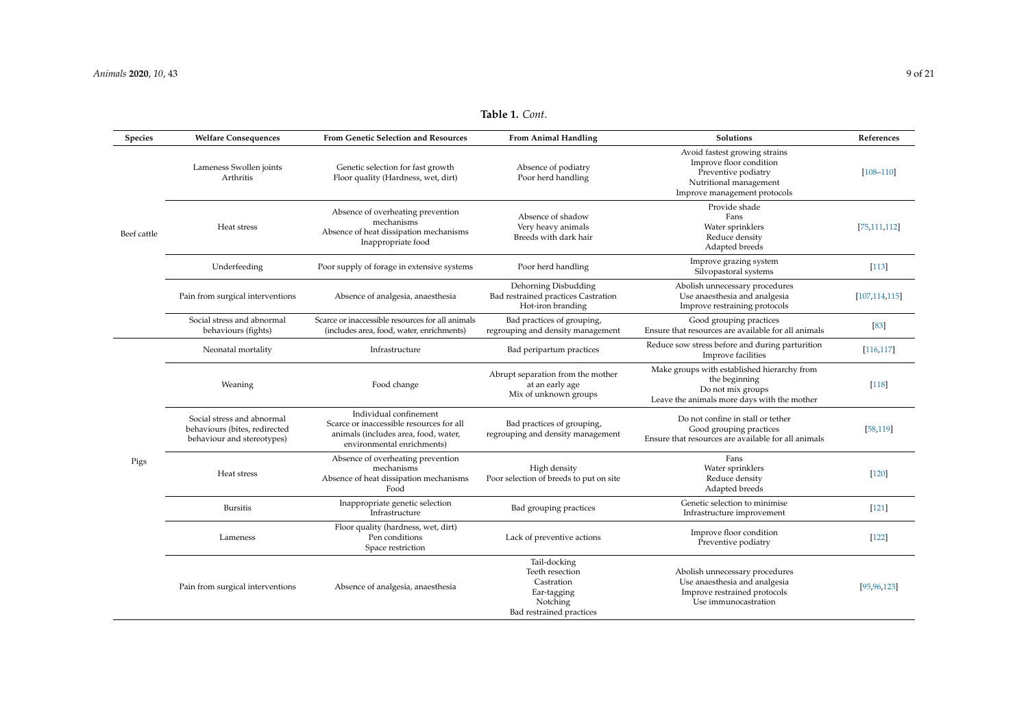Beef cattle

| <b>Species</b> | <b>Welfare Consequences</b>                                                               | From Genetic Selection and Resources                                                                                                     | From Animal Handling                                                             | <b>Solutions</b>                                                                                                                          | References      |
|----------------|-------------------------------------------------------------------------------------------|------------------------------------------------------------------------------------------------------------------------------------------|----------------------------------------------------------------------------------|-------------------------------------------------------------------------------------------------------------------------------------------|-----------------|
|                | Lameness Swollen joints<br>Arthritis                                                      | Genetic selection for fast growth<br>Floor quality (Hardness, wet, dirt)                                                                 | Absence of podiatry<br>Poor herd handling                                        | Avoid fastest growing strains<br>Improve floor condition<br>Preventive podiatry<br>Nutritional management<br>Improve management protocols | $[108 - 110]$   |
| eef cattle     | Heat stress                                                                               | Absence of overheating prevention<br>mechanisms<br>Absence of heat dissipation mechanisms<br>Inappropriate food                          | Absence of shadow<br>Very heavy animals<br>Breeds with dark hair                 | Provide shade<br>Fans<br>Water sprinklers<br>Reduce density<br>Adapted breeds                                                             | [75, 111, 112]  |
|                | Underfeeding                                                                              | Poor supply of forage in extensive systems                                                                                               | Poor herd handling                                                               | Improve grazing system<br>Silvopastoral systems                                                                                           | $[113]$         |
|                | Pain from surgical interventions                                                          | Absence of analgesia, anaesthesia                                                                                                        | Dehorning Disbudding<br>Bad restrained practices Castration<br>Hot-iron branding | Abolish unnecessary procedures<br>Use anaesthesia and analgesia<br>Improve restraining protocols                                          | [107, 114, 115] |
|                | Social stress and abnormal<br>behaviours (fights)                                         | Scarce or inaccessible resources for all animals<br>(includes area, food, water, enrichments)                                            | Bad practices of grouping,<br>regrouping and density management                  | Good grouping practices<br>Ensure that resources are available for all animals                                                            | $[83]$          |
|                | Neonatal mortality                                                                        | Infrastructure                                                                                                                           | Bad peripartum practices                                                         | Reduce sow stress before and during parturition<br>Improve facilities                                                                     | [116, 117]      |
|                | Weaning                                                                                   | Food change                                                                                                                              | Abrupt separation from the mother<br>at an early age<br>Mix of unknown groups    | Make groups with established hierarchy from<br>the beginning<br>Do not mix groups<br>Leave the animals more days with the mother          | $[118]$         |
|                | Social stress and abnormal<br>behaviours (bites, redirected<br>behaviour and stereotypes) | Individual confinement<br>Scarce or inaccessible resources for all<br>animals (includes area, food, water,<br>environmental enrichments) | Bad practices of grouping,<br>regrouping and density management                  | Do not confine in stall or tether<br>Good grouping practices<br>Ensure that resources are available for all animals                       | 58,119          |
| Pigs           | Heat stress                                                                               | Absence of overheating prevention<br>mechanisms<br>Absence of heat dissipation mechanisms<br>$\Gamma_{\text{total}}$                     | High density<br>Poor selection of breeds to put on site                          | Fans<br>Water sprinklers<br>Reduce density<br>المائد ومسط المستقيمات                                                                      | $[120]$         |

## **Table 1.** *Cont*.

|      |                                                                                           |                                                                                                                                          | Mix of unknown groups                                                                                | Leave the animals more days with the mother                                                                             |               |
|------|-------------------------------------------------------------------------------------------|------------------------------------------------------------------------------------------------------------------------------------------|------------------------------------------------------------------------------------------------------|-------------------------------------------------------------------------------------------------------------------------|---------------|
| Pigs | Social stress and abnormal<br>behaviours (bites, redirected<br>behaviour and stereotypes) | Individual confinement<br>Scarce or inaccessible resources for all<br>animals (includes area, food, water,<br>environmental enrichments) | Bad practices of grouping,<br>regrouping and density management                                      | Do not confine in stall or tether<br>Good grouping practices<br>Ensure that resources are available for all animals     | [58, 119]     |
|      | Heat stress                                                                               | Absence of overheating prevention<br>mechanisms<br>Absence of heat dissipation mechanisms<br>Food                                        | High density<br>Poor selection of breeds to put on site                                              | Fans<br>Water sprinklers<br>Reduce density<br>Adapted breeds                                                            | [120]         |
|      | <b>Bursitis</b>                                                                           | Inappropriate genetic selection<br>Infrastructure                                                                                        | Bad grouping practices                                                                               | Genetic selection to minimise<br>Infrastructure improvement                                                             | $[121]$       |
|      | Lameness                                                                                  | Floor quality (hardness, wet, dirt)<br>Pen conditions<br>Space restriction                                                               | Lack of preventive actions                                                                           | Improve floor condition<br>Preventive podiatry                                                                          | [122]         |
|      | Pain from surgical interventions                                                          | Absence of analgesia, anaesthesia                                                                                                        | Tail-docking<br>Teeth resection<br>Castration<br>Ear-tagging<br>Notching<br>Bad restrained practices | Abolish unnecessary procedures<br>Use anaesthesia and analgesia<br>Improve restrained protocols<br>Use immunocastration | [95, 96, 123] |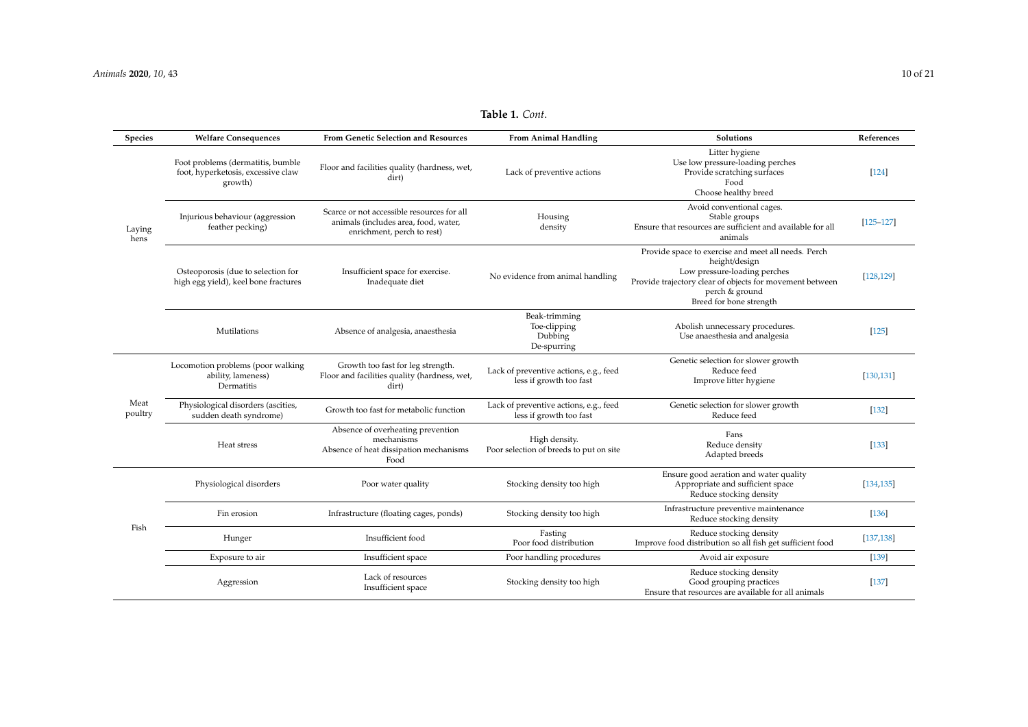| <b>Species</b>  | <b>Welfare Consequences</b>                                                        | <b>From Genetic Selection and Resources</b>                                                                      | <b>From Animal Handling</b>                                       | <b>Solutions</b>                                                                                                                                                                                              | References    |
|-----------------|------------------------------------------------------------------------------------|------------------------------------------------------------------------------------------------------------------|-------------------------------------------------------------------|---------------------------------------------------------------------------------------------------------------------------------------------------------------------------------------------------------------|---------------|
| Laying<br>hens  | Foot problems (dermatitis, bumble<br>foot, hyperketosis, excessive claw<br>growth) | Floor and facilities quality (hardness, wet,<br>dirt)                                                            | Lack of preventive actions                                        | Litter hygiene<br>Use low pressure-loading perches<br>Provide scratching surfaces<br>Food<br>Choose healthy breed                                                                                             | $[124]$       |
|                 | Injurious behaviour (aggression<br>feather pecking)                                | Scarce or not accessible resources for all<br>animals (includes area, food, water,<br>enrichment, perch to rest) | Housing<br>density                                                | Avoid conventional cages.<br>Stable groups<br>Ensure that resources are sufficient and available for all<br>animals                                                                                           | $[125 - 127]$ |
|                 | Osteoporosis (due to selection for<br>high egg yield), keel bone fractures         | Insufficient space for exercise.<br>Inadequate diet                                                              | No evidence from animal handling                                  | Provide space to exercise and meet all needs. Perch<br>height/design<br>Low pressure-loading perches<br>Provide trajectory clear of objects for movement between<br>perch & ground<br>Breed for bone strength | [128, 129]    |
|                 | Mutilations                                                                        | Absence of analgesia, anaesthesia                                                                                | Beak-trimming<br>Toe-clipping<br>Dubbing<br>De-spurring           | Abolish unnecessary procedures.<br>Use anaesthesia and analgesia                                                                                                                                              | $[125]$       |
| Meat<br>poultry | Locomotion problems (poor walking<br>ability, lameness)<br>Dermatitis              | Growth too fast for leg strength.<br>Floor and facilities quality (hardness, wet,<br>dirt)                       | Lack of preventive actions, e.g., feed<br>less if growth too fast | Genetic selection for slower growth<br>Reduce feed<br>Improve litter hygiene                                                                                                                                  | [130, 131]    |
|                 | Physiological disorders (ascities,<br>sudden death syndrome)                       | Growth too fast for metabolic function                                                                           | Lack of preventive actions, e.g., feed<br>less if growth too fast | Genetic selection for slower growth<br>Reduce feed                                                                                                                                                            | $[132]$       |
|                 | Heat stress                                                                        | Absence of overheating prevention<br>mechanisms<br>Absence of heat dissipation mechanisms<br>Food                | High density.<br>Poor selection of breeds to put on site          | Fans<br>Reduce density<br>Adapted breeds                                                                                                                                                                      | [133]         |
| Fish            | Physiological disorders                                                            | Poor water quality                                                                                               | Stocking density too high                                         | Ensure good aeration and water quality<br>Appropriate and sufficient space<br>Reduce stocking density                                                                                                         | [134, 135]    |
|                 | Fin erosion                                                                        | Infrastructure (floating cages, ponds)                                                                           | Stocking density too high                                         | Infrastructure preventive maintenance<br>Reduce stocking density                                                                                                                                              | [136]         |
|                 | Hunger                                                                             | Insufficient food                                                                                                | Fasting<br>Poor food distribution                                 | Reduce stocking density<br>Improve food distribution so all fish get sufficient food                                                                                                                          | [137, 138]    |
|                 | Exposure to air                                                                    | Insufficient space                                                                                               | Poor handling procedures                                          | Avoid air exposure                                                                                                                                                                                            | [139]         |
|                 | Aggression                                                                         | Lack of resources<br>Insufficient space                                                                          | Stocking density too high                                         | Reduce stocking density<br>Good grouping practices<br>Ensure that resources are available for all animals                                                                                                     | $[137]$       |

## **Table 1.** *Cont*.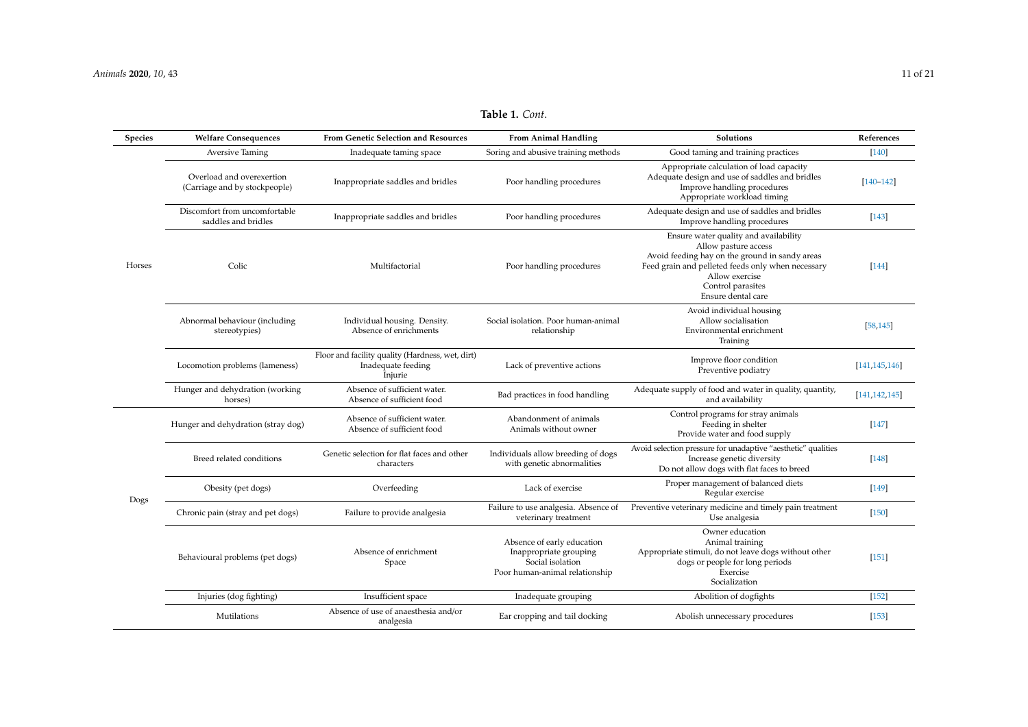| Species | <b>Welfare Consequences</b>                                | <b>From Genetic Selection and Resources</b>                                       | From Animal Handling                                                                                       | <b>Solutions</b>                                                                                                                                                                                                                  | References      |
|---------|------------------------------------------------------------|-----------------------------------------------------------------------------------|------------------------------------------------------------------------------------------------------------|-----------------------------------------------------------------------------------------------------------------------------------------------------------------------------------------------------------------------------------|-----------------|
| Horses  | <b>Aversive Taming</b>                                     | Inadequate taming space                                                           | Soring and abusive training methods                                                                        | Good taming and training practices                                                                                                                                                                                                | $[140]$         |
|         | Overload and overexertion<br>(Carriage and by stockpeople) | Inappropriate saddles and bridles                                                 | Poor handling procedures                                                                                   | Appropriate calculation of load capacity<br>Adequate design and use of saddles and bridles<br>Improve handling procedures<br>Appropriate workload timing                                                                          | $[140 - 142]$   |
|         | Discomfort from uncomfortable<br>saddles and bridles       | Inappropriate saddles and bridles                                                 | Poor handling procedures                                                                                   | Adequate design and use of saddles and bridles<br>Improve handling procedures                                                                                                                                                     | $[143]$         |
|         | Colic                                                      | Multifactorial                                                                    | Poor handling procedures                                                                                   | Ensure water quality and availability<br>Allow pasture access<br>Avoid feeding hay on the ground in sandy areas<br>Feed grain and pelleted feeds only when necessary<br>Allow exercise<br>Control parasites<br>Ensure dental care | $[144]$         |
|         | Abnormal behaviour (including<br>stereotypies)             | Individual housing. Density.<br>Absence of enrichments                            | Social isolation. Poor human-animal<br>relationship                                                        | Avoid individual housing<br>Allow socialisation<br>Environmental enrichment<br>Training                                                                                                                                           | 58,145          |
|         | Locomotion problems (lameness)                             | Floor and facility quality (Hardness, wet, dirt)<br>Inadequate feeding<br>Injurie | Lack of preventive actions                                                                                 | Improve floor condition<br>Preventive podiatry                                                                                                                                                                                    | 141, 145, 146   |
|         | Hunger and dehydration (working<br>horses)                 | Absence of sufficient water.<br>Absence of sufficient food                        | Bad practices in food handling                                                                             | Adequate supply of food and water in quality, quantity,<br>and availability                                                                                                                                                       | [141, 142, 145] |
|         | Hunger and dehydration (stray dog)                         | Absence of sufficient water.<br>Absence of sufficient food                        | Abandonment of animals<br>Animals without owner                                                            | Control programs for stray animals<br>Feeding in shelter<br>Provide water and food supply                                                                                                                                         | $[147]$         |
|         | Breed related conditions                                   | Genetic selection for flat faces and other<br>characters                          | Individuals allow breeding of dogs<br>with genetic abnormalities                                           | Avoid selection pressure for unadaptive "aesthetic" qualities<br>Increase genetic diversity<br>Do not allow dogs with flat faces to breed                                                                                         | $[148]$         |
|         | Obesity (pet dogs)                                         | Overfeeding                                                                       | Lack of exercise                                                                                           | Proper management of balanced diets<br>Regular exercise                                                                                                                                                                           | $[149]$         |
| Dogs    | Chronic pain (stray and pet dogs)                          | Failure to provide analgesia                                                      | Failure to use analgesia. Absence of<br>veterinary treatment                                               | Preventive veterinary medicine and timely pain treatment<br>Use analgesia                                                                                                                                                         | $[150]$         |
|         | Behavioural problems (pet dogs)                            | Absence of enrichment<br>Space                                                    | Absence of early education<br>Inappropriate grouping<br>Social isolation<br>Poor human-animal relationship | Owner education<br>Animal training<br>Appropriate stimuli, do not leave dogs without other<br>dogs or people for long periods<br>Exercise<br>Socialization                                                                        | $[151]$         |
|         | Injuries (dog fighting)                                    | Insufficient space                                                                | Inadequate grouping                                                                                        | Abolition of dogfights                                                                                                                                                                                                            | [152]           |

Ear cropping and tail docking Abolish unnecessary procedures [\[153\]](#page-19-12)

Mutilations Absence of use of anaesthesia and/or<br>analgesia

## **Table 1.** *Cont*.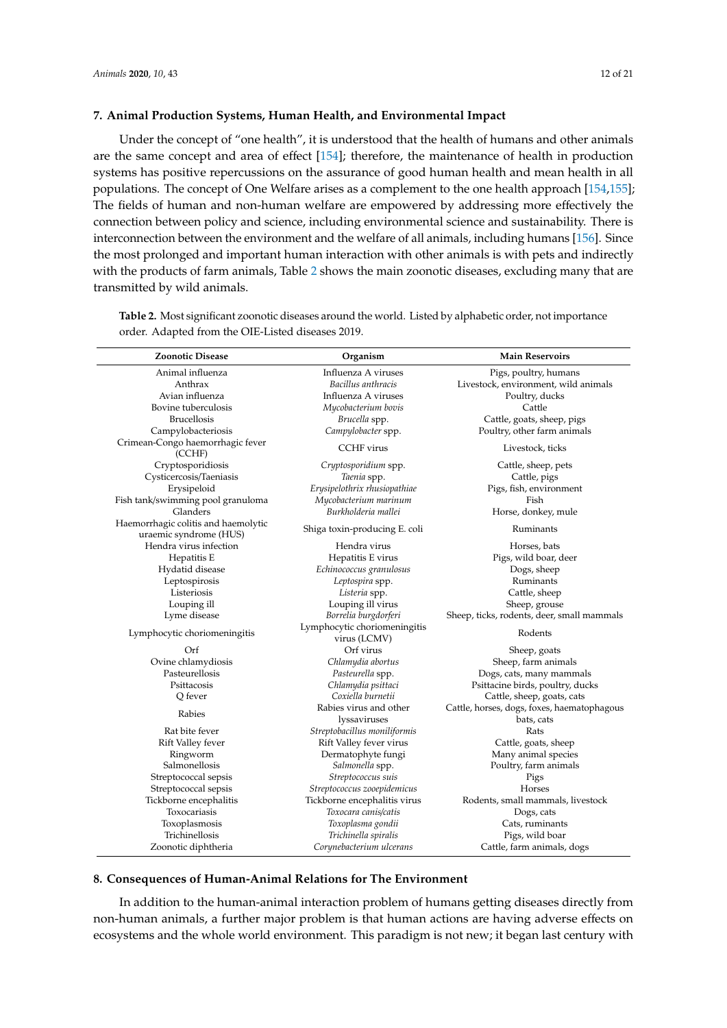## **7. Animal Production Systems, Human Health, and Environmental Impact**

Under the concept of "one health", it is understood that the health of humans and other animals are the same concept and area of effect [\[154\]](#page-19-13); therefore, the maintenance of health in production systems has positive repercussions on the assurance of good human health and mean health in all populations. The concept of One Welfare arises as a complement to the one health approach [\[154](#page-19-13)[,155\]](#page-19-14); The fields of human and non-human welfare are empowered by addressing more effectively the connection between policy and science, including environmental science and sustainability. There is interconnection between the environment and the welfare of all animals, including humans [\[156\]](#page-19-15). Since the most prolonged and important human interaction with other animals is with pets and indirectly with the products of farm animals, Table [2](#page-11-0) shows the main zoonotic diseases, excluding many that are transmitted by wild animals.

| <b>Zoonotic Disease</b>                                       | Organism                                     | <b>Main Reservoirs</b>                                    |
|---------------------------------------------------------------|----------------------------------------------|-----------------------------------------------------------|
| Animal influenza                                              | Influenza A viruses                          | Pigs, poultry, humans                                     |
| Anthrax                                                       | Bacillus anthracis                           | Livestock, environment, wild animals                      |
| Avian influenza                                               | Influenza A viruses                          | Poultry, ducks                                            |
| Bovine tuberculosis                                           | Mycobacterium bovis                          | Cattle                                                    |
| <b>Brucellosis</b>                                            | Brucella spp.                                | Cattle, goats, sheep, pigs                                |
| Campylobacteriosis                                            | Campylobacter spp.                           | Poultry, other farm animals                               |
| Crimean-Congo haemorrhagic fever<br>(CCHF)                    | <b>CCHF</b> virus                            | Livestock, ticks                                          |
| Cryptosporidiosis                                             | Cryptosporidium spp.                         | Cattle, sheep, pets                                       |
| Cysticercosis/Taeniasis                                       | Taenia spp.                                  | Cattle, pigs                                              |
| Erysipeloid                                                   | Erysipelothrix rhusiopathiae                 | Pigs, fish, environment                                   |
| Fish tank/swimming pool granuloma                             | Mycobacterium marinum                        | Fish                                                      |
| Glanders                                                      | Burkholderia mallei                          | Horse, donkey, mule                                       |
| Haemorrhagic colitis and haemolytic<br>uraemic syndrome (HUS) | Shiga toxin-producing E. coli                | Ruminants                                                 |
| Hendra virus infection                                        | Hendra virus                                 | Horses, bats                                              |
| Hepatitis E                                                   | Hepatitis E virus                            | Pigs, wild boar, deer                                     |
| Hydatid disease                                               | Echinococcus granulosus                      | Dogs, sheep                                               |
| Leptospirosis                                                 | Leptospira spp.                              | Ruminants                                                 |
| Listeriosis                                                   | Listeria spp.                                | Cattle, sheep                                             |
| Louping ill                                                   | Louping ill virus                            | Sheep, grouse                                             |
| Lyme disease                                                  | Borrelia burgdorferi                         | Sheep, ticks, rodents, deer, small mammals                |
| Lymphocytic choriomeningitis                                  | Lymphocytic choriomeningitis<br>virus (LCMV) | Rodents                                                   |
| Orf                                                           | Orf virus                                    | Sheep, goats                                              |
| Ovine chlamydiosis                                            | Chlamydia abortus                            | Sheep, farm animals                                       |
| Pasteurellosis                                                | Pasteurella spp.                             | Dogs, cats, many mammals                                  |
| Psittacosis                                                   | Chlamydia psittaci                           | Psittacine birds, poultry, ducks                          |
| Q fever                                                       | Coxiella burnetii                            | Cattle, sheep, goats, cats                                |
| Rabies                                                        | Rabies virus and other<br>lyssaviruses       | Cattle, horses, dogs, foxes, haematophagous<br>bats, cats |
| Rat bite fever                                                | Streptobacillus moniliformis                 | Rats                                                      |
| Rift Valley fever                                             | Rift Valley fever virus                      | Cattle, goats, sheep                                      |
| Ringworm                                                      | Dermatophyte fungi                           | Many animal species                                       |
| Salmonellosis                                                 | Salmonella spp.                              | Poultry, farm animals                                     |
| Streptococcal sepsis                                          | Streptococcus suis                           | Pigs                                                      |
| Streptococcal sepsis                                          | Streptococcus zooepidemicus                  | Horses                                                    |
| Tickborne encephalitis                                        | Tickborne encephalitis virus                 | Rodents, small mammals, livestock                         |
| Toxocariasis                                                  | Toxocara canis/catis                         | Dogs, cats                                                |
| Toxoplasmosis                                                 | Toxoplasma gondii                            | Cats, ruminants                                           |
| Trichinellosis                                                | Trichinella spiralis                         | Pigs, wild boar                                           |
| Zoonotic diphtheria                                           | Corynebacterium ulcerans                     | Cattle, farm animals, dogs                                |

<span id="page-11-0"></span>**Table 2.** Most significant zoonotic diseases around the world. Listed by alphabetic order, not importance order. Adapted from the OIE-Listed diseases 2019.

#### **8. Consequences of Human-Animal Relations for The Environment**

In addition to the human-animal interaction problem of humans getting diseases directly from non-human animals, a further major problem is that human actions are having adverse effects on ecosystems and the whole world environment. This paradigm is not new; it began last century with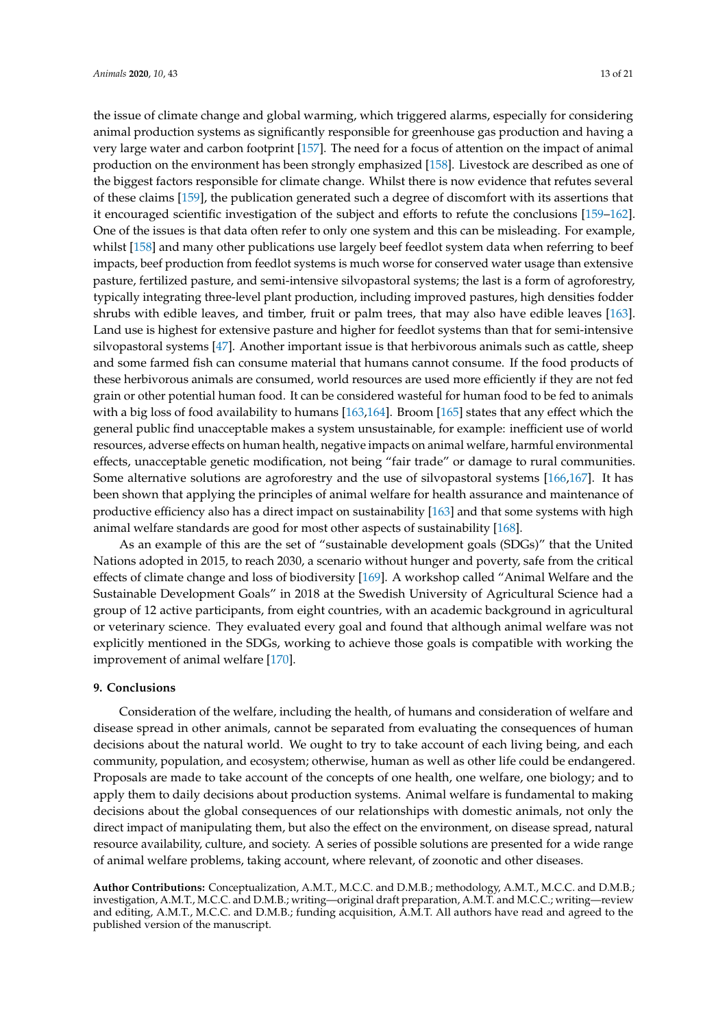the issue of climate change and global warming, which triggered alarms, especially for considering animal production systems as significantly responsible for greenhouse gas production and having a very large water and carbon footprint [\[157\]](#page-19-16). The need for a focus of attention on the impact of animal production on the environment has been strongly emphasized [\[158\]](#page-19-17). Livestock are described as one of the biggest factors responsible for climate change. Whilst there is now evidence that refutes several of these claims [\[159\]](#page-19-18), the publication generated such a degree of discomfort with its assertions that it encouraged scientific investigation of the subject and efforts to refute the conclusions [\[159–](#page-19-18)[162\]](#page-19-19). One of the issues is that data often refer to only one system and this can be misleading. For example, whilst [\[158\]](#page-19-17) and many other publications use largely beef feedlot system data when referring to beef impacts, beef production from feedlot systems is much worse for conserved water usage than extensive pasture, fertilized pasture, and semi-intensive silvopastoral systems; the last is a form of agroforestry, typically integrating three-level plant production, including improved pastures, high densities fodder shrubs with edible leaves, and timber, fruit or palm trees, that may also have edible leaves [\[163\]](#page-19-20). Land use is highest for extensive pasture and higher for feedlot systems than that for semi-intensive silvopastoral systems [\[47\]](#page-14-22). Another important issue is that herbivorous animals such as cattle, sheep and some farmed fish can consume material that humans cannot consume. If the food products of these herbivorous animals are consumed, world resources are used more efficiently if they are not fed grain or other potential human food. It can be considered wasteful for human food to be fed to animals with a big loss of food availability to humans [\[163](#page-19-20)[,164\]](#page-19-21). Broom [\[165\]](#page-20-0) states that any effect which the general public find unacceptable makes a system unsustainable, for example: inefficient use of world resources, adverse effects on human health, negative impacts on animal welfare, harmful environmental effects, unacceptable genetic modification, not being "fair trade" or damage to rural communities. Some alternative solutions are agroforestry and the use of silvopastoral systems [\[166](#page-20-1)[,167\]](#page-20-2). It has been shown that applying the principles of animal welfare for health assurance and maintenance of productive efficiency also has a direct impact on sustainability [\[163\]](#page-19-20) and that some systems with high animal welfare standards are good for most other aspects of sustainability [\[168\]](#page-20-3).

As an example of this are the set of "sustainable development goals (SDGs)" that the United Nations adopted in 2015, to reach 2030, a scenario without hunger and poverty, safe from the critical effects of climate change and loss of biodiversity [\[169\]](#page-20-4). A workshop called "Animal Welfare and the Sustainable Development Goals" in 2018 at the Swedish University of Agricultural Science had a group of 12 active participants, from eight countries, with an academic background in agricultural or veterinary science. They evaluated every goal and found that although animal welfare was not explicitly mentioned in the SDGs, working to achieve those goals is compatible with working the improvement of animal welfare [\[170\]](#page-20-5).

## **9. Conclusions**

Consideration of the welfare, including the health, of humans and consideration of welfare and disease spread in other animals, cannot be separated from evaluating the consequences of human decisions about the natural world. We ought to try to take account of each living being, and each community, population, and ecosystem; otherwise, human as well as other life could be endangered. Proposals are made to take account of the concepts of one health, one welfare, one biology; and to apply them to daily decisions about production systems. Animal welfare is fundamental to making decisions about the global consequences of our relationships with domestic animals, not only the direct impact of manipulating them, but also the effect on the environment, on disease spread, natural resource availability, culture, and society. A series of possible solutions are presented for a wide range of animal welfare problems, taking account, where relevant, of zoonotic and other diseases.

**Author Contributions:** Conceptualization, A.M.T., M.C.C. and D.M.B.; methodology, A.M.T., M.C.C. and D.M.B.; investigation, A.M.T., M.C.C. and D.M.B.; writing—original draft preparation, A.M.T. and M.C.C.; writing—review and editing, A.M.T., M.C.C. and D.M.B.; funding acquisition, A.M.T. All authors have read and agreed to the published version of the manuscript.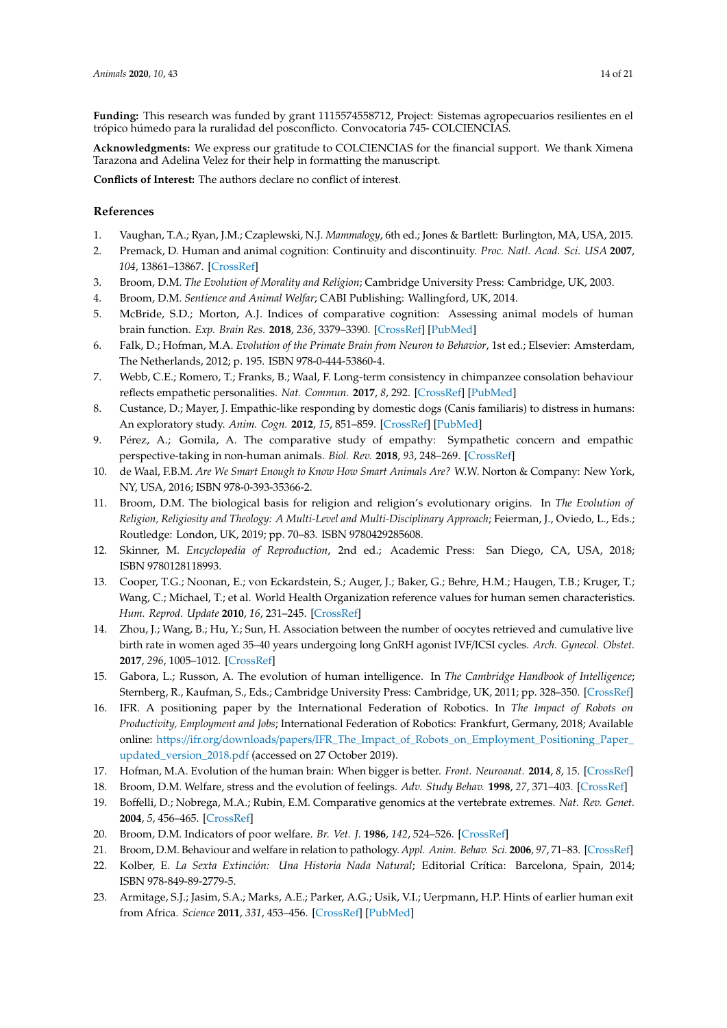**Funding:** This research was funded by grant 1115574558712, Project: Sistemas agropecuarios resilientes en el trópico húmedo para la ruralidad del posconflicto. Convocatoria 745- COLCIENCIAS.

**Acknowledgments:** We express our gratitude to COLCIENCIAS for the financial support. We thank Ximena Tarazona and Adelina Velez for their help in formatting the manuscript.

**Conflicts of Interest:** The authors declare no conflict of interest.

## **References**

- <span id="page-13-0"></span>1. Vaughan, T.A.; Ryan, J.M.; Czaplewski, N.J. *Mammalogy*, 6th ed.; Jones & Bartlett: Burlington, MA, USA, 2015.
- <span id="page-13-1"></span>2. Premack, D. Human and animal cognition: Continuity and discontinuity. *Proc. Natl. Acad. Sci. USA* **2007**, *104*, 13861–13867. [\[CrossRef\]](http://dx.doi.org/10.1073/pnas.0706147104)
- <span id="page-13-17"></span>3. Broom, D.M. *The Evolution of Morality and Religion*; Cambridge University Press: Cambridge, UK, 2003.
- <span id="page-13-4"></span>4. Broom, D.M. *Sentience and Animal Welfar*; CABI Publishing: Wallingford, UK, 2014.
- <span id="page-13-2"></span>5. McBride, S.D.; Morton, A.J. Indices of comparative cognition: Assessing animal models of human brain function. *Exp. Brain Res.* **2018**, *236*, 3379–3390. [\[CrossRef\]](http://dx.doi.org/10.1007/s00221-018-5370-8) [\[PubMed\]](http://www.ncbi.nlm.nih.gov/pubmed/30267138)
- <span id="page-13-3"></span>6. Falk, D.; Hofman, M.A. *Evolution of the Primate Brain from Neuron to Behavior*, 1st ed.; Elsevier: Amsterdam, The Netherlands, 2012; p. 195. ISBN 978-0-444-53860-4.
- <span id="page-13-5"></span>7. Webb, C.E.; Romero, T.; Franks, B.; Waal, F. Long-term consistency in chimpanzee consolation behaviour reflects empathetic personalities. *Nat. Commun.* **2017**, *8*, 292. [\[CrossRef\]](http://dx.doi.org/10.1038/s41467-017-00360-7) [\[PubMed\]](http://www.ncbi.nlm.nih.gov/pubmed/28819207)
- 8. Custance, D.; Mayer, J. Empathic-like responding by domestic dogs (Canis familiaris) to distress in humans: An exploratory study. *Anim. Cogn.* **2012**, *15*, 851–859. [\[CrossRef\]](http://dx.doi.org/10.1007/s10071-012-0510-1) [\[PubMed\]](http://www.ncbi.nlm.nih.gov/pubmed/22644113)
- <span id="page-13-6"></span>9. Pérez, A.; Gomila, A. The comparative study of empathy: Sympathetic concern and empathic perspective-taking in non-human animals. *Biol. Rev.* **2018**, *93*, 248–269. [\[CrossRef\]](http://dx.doi.org/10.1111/brv.12342)
- <span id="page-13-7"></span>10. de Waal, F.B.M. *Are We Smart Enough to Know How Smart Animals Are?* W.W. Norton & Company: New York, NY, USA, 2016; ISBN 978-0-393-35366-2.
- <span id="page-13-8"></span>11. Broom, D.M. The biological basis for religion and religion's evolutionary origins. In *The Evolution of Religion, Religiosity and Theology: A Multi-Level and Multi-Disciplinary Approach*; Feierman, J., Oviedo, L., Eds.; Routledge: London, UK, 2019; pp. 70–83. ISBN 9780429285608.
- <span id="page-13-9"></span>12. Skinner, M. *Encyclopedia of Reproduction*, 2nd ed.; Academic Press: San Diego, CA, USA, 2018; ISBN 9780128118993.
- <span id="page-13-10"></span>13. Cooper, T.G.; Noonan, E.; von Eckardstein, S.; Auger, J.; Baker, G.; Behre, H.M.; Haugen, T.B.; Kruger, T.; Wang, C.; Michael, T.; et al. World Health Organization reference values for human semen characteristics. *Hum. Reprod. Update* **2010**, *16*, 231–245. [\[CrossRef\]](http://dx.doi.org/10.1093/humupd/dmp048)
- <span id="page-13-11"></span>14. Zhou, J.; Wang, B.; Hu, Y.; Sun, H. Association between the number of oocytes retrieved and cumulative live birth rate in women aged 35–40 years undergoing long GnRH agonist IVF/ICSI cycles. *Arch. Gynecol. Obstet.* **2017**, *296*, 1005–1012. [\[CrossRef\]](http://dx.doi.org/10.1007/s00404-017-4503-9)
- <span id="page-13-12"></span>15. Gabora, L.; Russon, A. The evolution of human intelligence. In *The Cambridge Handbook of Intelligence*; Sternberg, R., Kaufman, S., Eds.; Cambridge University Press: Cambridge, UK, 2011; pp. 328–350. [\[CrossRef\]](http://dx.doi.org/10.1017/CBO9780511977244.018)
- <span id="page-13-13"></span>16. IFR. A positioning paper by the International Federation of Robotics. In *The Impact of Robots on Productivity, Employment and Jobs*; International Federation of Robotics: Frankfurt, Germany, 2018; Available online: https://ifr.org/downloads/papers/[IFR\\_The\\_Impact\\_of\\_Robots\\_on\\_Employment\\_Positioning\\_Paper\\_](https://ifr.org/downloads/papers/IFR_The_Impact_of_Robots_on_Employment_Positioning_Paper_updated_version_2018.pdf) [updated\\_version\\_2018.pdf](https://ifr.org/downloads/papers/IFR_The_Impact_of_Robots_on_Employment_Positioning_Paper_updated_version_2018.pdf) (accessed on 27 October 2019).
- <span id="page-13-14"></span>17. Hofman, M.A. Evolution of the human brain: When bigger is better. *Front. Neuroanat.* **2014**, *8*, 15. [\[CrossRef\]](http://dx.doi.org/10.3389/fnana.2014.00015)
- <span id="page-13-15"></span>18. Broom, D.M. Welfare, stress and the evolution of feelings. *Adv. Study Behav.* **1998**, *27*, 371–403. [\[CrossRef\]](http://dx.doi.org/10.3389/fnana.2014.00015)
- <span id="page-13-16"></span>19. Boffelli, D.; Nobrega, M.A.; Rubin, E.M. Comparative genomics at the vertebrate extremes. *Nat. Rev. Genet.* **2004**, *5*, 456–465. [\[CrossRef\]](http://dx.doi.org/10.1038/nrg1350)
- <span id="page-13-18"></span>20. Broom, D.M. Indicators of poor welfare. *Br. Vet. J.* **1986**, *142*, 524–526. [\[CrossRef\]](http://dx.doi.org/10.1016/0007-1935(86)90109-0)
- <span id="page-13-19"></span>21. Broom, D.M. Behaviour and welfare in relation to pathology. *Appl. Anim. Behav. Sci.* **2006**, *97*, 71–83. [\[CrossRef\]](http://dx.doi.org/10.1016/j.applanim.2005.11.019)
- <span id="page-13-20"></span>22. Kolber, E. *La Sexta Extinción: Una Historia Nada Natural*; Editorial Crítica: Barcelona, Spain, 2014; ISBN 978-849-89-2779-5.
- <span id="page-13-21"></span>23. Armitage, S.J.; Jasim, S.A.; Marks, A.E.; Parker, A.G.; Usik, V.I.; Uerpmann, H.P. Hints of earlier human exit from Africa. *Science* **2011**, *331*, 453–456. [\[CrossRef\]](http://dx.doi.org/10.1126/science.1199113) [\[PubMed\]](http://www.ncbi.nlm.nih.gov/pubmed/21273486)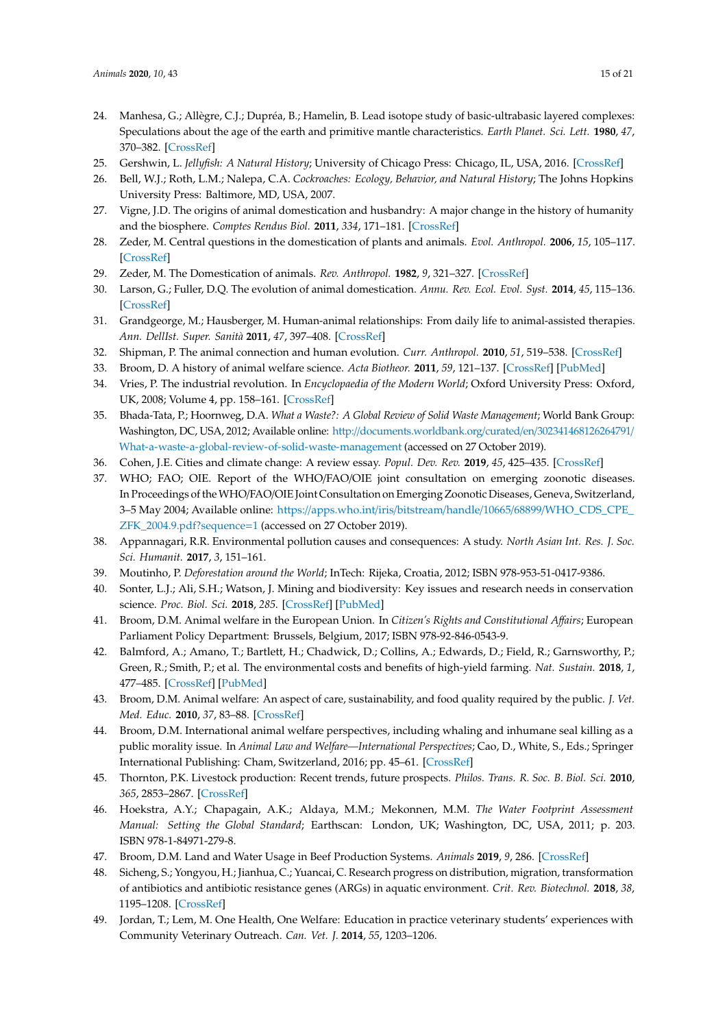- <span id="page-14-0"></span>24. Manhesa, G.; Allègre, C.J.; Dupréa, B.; Hamelin, B. Lead isotope study of basic-ultrabasic layered complexes: Speculations about the age of the earth and primitive mantle characteristics. *Earth Planet. Sci. Lett.* **1980**, *47*, 370–382. [\[CrossRef\]](http://dx.doi.org/10.1016/0012-821X(80)90024-2)
- <span id="page-14-1"></span>25. Gershwin, L. *Jellyfish: A Natural History*; University of Chicago Press: Chicago, IL, USA, 2016. [\[CrossRef\]](http://dx.doi.org/10.7208/chicago/9780226287706.001.0001)
- <span id="page-14-2"></span>26. Bell, W.J.; Roth, L.M.; Nalepa, C.A. *Cockroaches: Ecology, Behavior, and Natural History*; The Johns Hopkins University Press: Baltimore, MD, USA, 2007.
- <span id="page-14-3"></span>27. Vigne, J.D. The origins of animal domestication and husbandry: A major change in the history of humanity and the biosphere. *Comptes Rendus Biol.* **2011**, *334*, 171–181. [\[CrossRef\]](http://dx.doi.org/10.1016/j.crvi.2010.12.009)
- <span id="page-14-4"></span>28. Zeder, M. Central questions in the domestication of plants and animals. *Evol. Anthropol.* **2006**, *15*, 105–117. [\[CrossRef\]](http://dx.doi.org/10.1002/evan.20101)
- <span id="page-14-5"></span>29. Zeder, M. The Domestication of animals. *Rev. Anthropol.* **1982**, *9*, 321–327. [\[CrossRef\]](http://dx.doi.org/10.1080/00988157.1982.9977605)
- <span id="page-14-6"></span>30. Larson, G.; Fuller, D.Q. The evolution of animal domestication. *Annu. Rev. Ecol. Evol. Syst.* **2014**, *45*, 115–136. [\[CrossRef\]](http://dx.doi.org/10.1146/annurev-ecolsys-110512-135813)
- <span id="page-14-7"></span>31. Grandgeorge, M.; Hausberger, M. Human-animal relationships: From daily life to animal-assisted therapies. *Ann. DellIst. Super. Sanità* **2011**, *47*, 397–408. [\[CrossRef\]](http://dx.doi.org/10.4415/ANN_11_04_12)
- <span id="page-14-8"></span>32. Shipman, P. The animal connection and human evolution. *Curr. Anthropol.* **2010**, *51*, 519–538. [\[CrossRef\]](http://dx.doi.org/10.1086/653816)
- <span id="page-14-9"></span>33. Broom, D. A history of animal welfare science. *Acta Biotheor.* **2011**, *59*, 121–137. [\[CrossRef\]](http://dx.doi.org/10.1007/s10441-011-9123-3) [\[PubMed\]](http://www.ncbi.nlm.nih.gov/pubmed/21347723)
- <span id="page-14-10"></span>34. Vries, P. The industrial revolution. In *Encyclopaedia of the Modern World*; Oxford University Press: Oxford, UK, 2008; Volume 4, pp. 158–161. [\[CrossRef\]](http://dx.doi.org/10.1017/CBO9780511818196)
- <span id="page-14-11"></span>35. Bhada-Tata, P.; Hoornweg, D.A. *What a Waste?: A Global Review of Solid Waste Management*; World Bank Group: Washington, DC, USA, 2012; Available online: http://[documents.worldbank.org](http://documents.worldbank.org/curated/en/302341468126264791/What-a-waste-a-global-review-of-solid-waste-management)/curated/en/302341468126264791/ [What-a-waste-a-global-review-of-solid-waste-management](http://documents.worldbank.org/curated/en/302341468126264791/What-a-waste-a-global-review-of-solid-waste-management) (accessed on 27 October 2019).
- <span id="page-14-12"></span>36. Cohen, J.E. Cities and climate change: A review essay. *Popul. Dev. Rev.* **2019**, *45*, 425–435. [\[CrossRef\]](http://dx.doi.org/10.1111/padr.12259)
- <span id="page-14-13"></span>37. WHO; FAO; OIE. Report of the WHO/FAO/OIE joint consultation on emerging zoonotic diseases. In Proceedings of theWHO/FAO/OIE Joint Consultation on Emerging Zoonotic Diseases, Geneva, Switzerland, 3–5 May 2004; Available online: https://apps.who.int/iris/bitstream/handle/10665/68899/[WHO\\_CDS\\_CPE\\_](https://apps.who.int/iris/bitstream/handle/10665/68899/WHO_CDS_CPE_ZFK_2004.9.pdf?sequence=1) [ZFK\\_2004.9.pdf?sequence](https://apps.who.int/iris/bitstream/handle/10665/68899/WHO_CDS_CPE_ZFK_2004.9.pdf?sequence=1)=1 (accessed on 27 October 2019).
- <span id="page-14-14"></span>38. Appannagari, R.R. Environmental pollution causes and consequences: A study. *North Asian Int. Res. J. Soc. Sci. Humanit.* **2017**, *3*, 151–161.
- <span id="page-14-15"></span>39. Moutinho, P. *Deforestation around the World*; InTech: Rijeka, Croatia, 2012; ISBN 978-953-51-0417-9386.
- <span id="page-14-16"></span>40. Sonter, L.J.; Ali, S.H.; Watson, J. Mining and biodiversity: Key issues and research needs in conservation science. *Proc. Biol. Sci.* **2018**, *285*. [\[CrossRef\]](http://dx.doi.org/10.1098/rspb.2018.1926) [\[PubMed\]](http://www.ncbi.nlm.nih.gov/pubmed/30518573)
- <span id="page-14-17"></span>41. Broom, D.M. Animal welfare in the European Union. In *Citizen's Rights and Constitutional A*ff*airs*; European Parliament Policy Department: Brussels, Belgium, 2017; ISBN 978-92-846-0543-9.
- <span id="page-14-18"></span>42. Balmford, A.; Amano, T.; Bartlett, H.; Chadwick, D.; Collins, A.; Edwards, D.; Field, R.; Garnsworthy, P.; Green, R.; Smith, P.; et al. The environmental costs and benefits of high-yield farming. *Nat. Sustain.* **2018**, *1*, 477–485. [\[CrossRef\]](http://dx.doi.org/10.1038/s41893-018-0138-5) [\[PubMed\]](http://www.ncbi.nlm.nih.gov/pubmed/30450426)
- <span id="page-14-19"></span>43. Broom, D.M. Animal welfare: An aspect of care, sustainability, and food quality required by the public. *J. Vet. Med. Educ.* **2010**, *37*, 83–88. [\[CrossRef\]](http://dx.doi.org/10.3138/jvme.37.1.83)
- <span id="page-14-20"></span>44. Broom, D.M. International animal welfare perspectives, including whaling and inhumane seal killing as a public morality issue. In *Animal Law and Welfare—International Perspectives*; Cao, D., White, S., Eds.; Springer International Publishing: Cham, Switzerland, 2016; pp. 45–61. [\[CrossRef\]](http://dx.doi.org/10.1007/978-3-319-26818-7_3)
- <span id="page-14-21"></span>45. Thornton, P.K. Livestock production: Recent trends, future prospects. *Philos. Trans. R. Soc. B. Biol. Sci.* **2010**, *365*, 2853–2867. [\[CrossRef\]](http://dx.doi.org/10.1098/rstb.2010.0134)
- 46. Hoekstra, A.Y.; Chapagain, A.K.; Aldaya, M.M.; Mekonnen, M.M. *The Water Footprint Assessment Manual: Setting the Global Standard*; Earthscan: London, UK; Washington, DC, USA, 2011; p. 203. ISBN 978-1-84971-279-8.
- <span id="page-14-22"></span>47. Broom, D.M. Land and Water Usage in Beef Production Systems. *Animals* **2019**, *9*, 286. [\[CrossRef\]](http://dx.doi.org/10.3390/ani9060286)
- <span id="page-14-23"></span>48. Sicheng, S.; Yongyou, H.; Jianhua, C.; Yuancai, C. Research progress on distribution, migration, transformation of antibiotics and antibiotic resistance genes (ARGs) in aquatic environment. *Crit. Rev. Biotechnol.* **2018**, *38*, 1195–1208. [\[CrossRef\]](http://dx.doi.org/10.1080/07388551.2018.1471038)
- <span id="page-14-24"></span>49. Jordan, T.; Lem, M. One Health, One Welfare: Education in practice veterinary students' experiences with Community Veterinary Outreach. *Can. Vet. J.* **2014**, *55*, 1203–1206.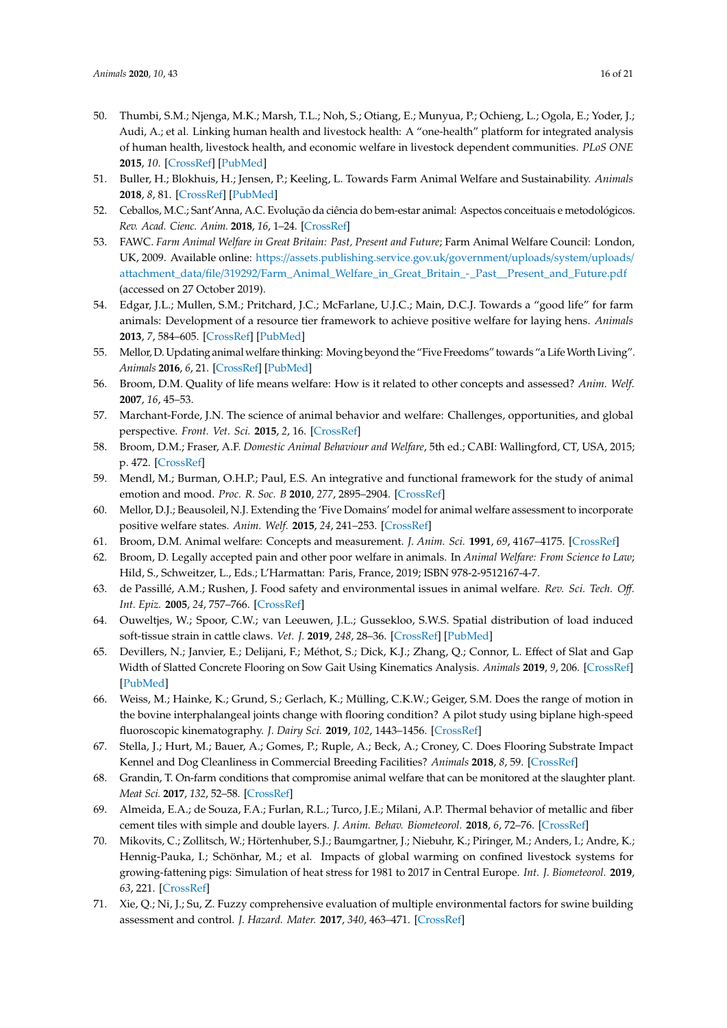- <span id="page-15-20"></span><span id="page-15-0"></span>50. Thumbi, S.M.; Njenga, M.K.; Marsh, T.L.; Noh, S.; Otiang, E.; Munyua, P.; Ochieng, L.; Ogola, E.; Yoder, J.; Audi, A.; et al. Linking human health and livestock health: A "one-health" platform for integrated analysis of human health, livestock health, and economic welfare in livestock dependent communities. *PLoS ONE* **2015**, *10*. [\[CrossRef\]](http://dx.doi.org/10.1371/journal.pone.0120761) [\[PubMed\]](http://www.ncbi.nlm.nih.gov/pubmed/25798951)
- <span id="page-15-1"></span>51. Buller, H.; Blokhuis, H.; Jensen, P.; Keeling, L. Towards Farm Animal Welfare and Sustainability. *Animals* **2018**, *8*, 81. [\[CrossRef\]](http://dx.doi.org/10.3390/ani8060081) [\[PubMed\]](http://www.ncbi.nlm.nih.gov/pubmed/29799456)
- <span id="page-15-2"></span>52. Ceballos, M.C.; Sant'Anna, A.C. Evolução da ciência do bem-estar animal: Aspectos conceituais e metodológicos. *Rev. Acad. Cienc. Anim.* **2018**, *16*, 1–24. [\[CrossRef\]](http://dx.doi.org/10.7213/1981-4178.2018.161103)
- <span id="page-15-3"></span>53. FAWC. *Farm Animal Welfare in Great Britain: Past, Present and Future*; Farm Animal Welfare Council: London, UK, 2009. Available online: https://[assets.publishing.service.gov.uk](https://assets.publishing.service.gov.uk/government/uploads/system/uploads/attachment_data/file/319292/Farm_Animal_Welfare_in_Great_Britain_-_Past__Present_and_Future.pdf)/government/uploads/system/uploads/ attachment\_data/file/319292/[Farm\\_Animal\\_Welfare\\_in\\_Great\\_Britain\\_-\\_Past\\_\\_Present\\_and\\_Future.pdf](https://assets.publishing.service.gov.uk/government/uploads/system/uploads/attachment_data/file/319292/Farm_Animal_Welfare_in_Great_Britain_-_Past__Present_and_Future.pdf) (accessed on 27 October 2019).
- <span id="page-15-6"></span>54. Edgar, J.L.; Mullen, S.M.; Pritchard, J.C.; McFarlane, U.J.C.; Main, D.C.J. Towards a "good life" for farm animals: Development of a resource tier framework to achieve positive welfare for laying hens. *Animals* **2013**, *7*, 584–605. [\[CrossRef\]](http://dx.doi.org/10.3390/ani3030584) [\[PubMed\]](http://www.ncbi.nlm.nih.gov/pubmed/26479523)
- <span id="page-15-4"></span>55. Mellor, D. Updating animal welfare thinking: Moving beyond the "Five Freedoms" towards "a LifeWorth Living". *Animals* **2016**, *6*, 21. [\[CrossRef\]](http://dx.doi.org/10.3390/ani6030021) [\[PubMed\]](http://www.ncbi.nlm.nih.gov/pubmed/27102171)
- <span id="page-15-5"></span>56. Broom, D.M. Quality of life means welfare: How is it related to other concepts and assessed? *Anim. Welf.* **2007**, *16*, 45–53.
- <span id="page-15-7"></span>57. Marchant-Forde, J.N. The science of animal behavior and welfare: Challenges, opportunities, and global perspective. *Front. Vet. Sci.* **2015**, *2*, 16. [\[CrossRef\]](http://dx.doi.org/10.3389/fvets.2015.00016)
- <span id="page-15-18"></span>58. Broom, D.M.; Fraser, A.F. *Domestic Animal Behaviour and Welfare*, 5th ed.; CABI: Wallingford, CT, USA, 2015; p. 472. [\[CrossRef\]](http://dx.doi.org/10.1079/9781780645391.0000)
- <span id="page-15-19"></span>59. Mendl, M.; Burman, O.H.P.; Paul, E.S. An integrative and functional framework for the study of animal emotion and mood. *Proc. R. Soc. B* **2010**, *277*, 2895–2904. [\[CrossRef\]](http://dx.doi.org/10.1098/rspb.2010.0303)
- <span id="page-15-8"></span>60. Mellor, D.J.; Beausoleil, N.J. Extending the 'Five Domains' model for animal welfare assessment to incorporate positive welfare states. *Anim. Welf.* **2015**, *24*, 241–253. [\[CrossRef\]](http://dx.doi.org/10.7120/09627286.24.3.241)
- <span id="page-15-9"></span>61. Broom, D.M. Animal welfare: Concepts and measurement. *J. Anim. Sci.* **1991**, *69*, 4167–4175. [\[CrossRef\]](http://dx.doi.org/10.2527/1991.69104167x)
- <span id="page-15-10"></span>62. Broom, D. Legally accepted pain and other poor welfare in animals. In *Animal Welfare: From Science to Law*; Hild, S., Schweitzer, L., Eds.; L'Harmattan: Paris, France, 2019; ISBN 978-2-9512167-4-7.
- <span id="page-15-11"></span>63. de Passillé, A.M.; Rushen, J. Food safety and environmental issues in animal welfare. *Rev. Sci. Tech. O*ff*. Int. Epiz.* **2005**, *24*, 757–766. [\[CrossRef\]](http://dx.doi.org/10.20506/rst.24.2.1599)
- <span id="page-15-12"></span>64. Ouweltjes, W.; Spoor, C.W.; van Leeuwen, J.L.; Gussekloo, S.W.S. Spatial distribution of load induced soft-tissue strain in cattle claws. *Vet. J.* **2019**, *248*, 28–36. [\[CrossRef\]](http://dx.doi.org/10.1016/j.tvjl.2019.03.007) [\[PubMed\]](http://www.ncbi.nlm.nih.gov/pubmed/31113559)
- 65. Devillers, N.; Janvier, E.; Delijani, F.; Méthot, S.; Dick, K.J.; Zhang, Q.; Connor, L. Effect of Slat and Gap Width of Slatted Concrete Flooring on Sow Gait Using Kinematics Analysis. *Animals* **2019**, *9*, 206. [\[CrossRef\]](http://dx.doi.org/10.3390/ani9050206) [\[PubMed\]](http://www.ncbi.nlm.nih.gov/pubmed/31052233)
- 66. Weiss, M.; Hainke, K.; Grund, S.; Gerlach, K.; Mülling, C.K.W.; Geiger, S.M. Does the range of motion in the bovine interphalangeal joints change with flooring condition? A pilot study using biplane high-speed fluoroscopic kinematography. *J. Dairy Sci.* **2019**, *102*, 1443–1456. [\[CrossRef\]](http://dx.doi.org/10.3168/jds.2018-14844)
- <span id="page-15-13"></span>67. Stella, J.; Hurt, M.; Bauer, A.; Gomes, P.; Ruple, A.; Beck, A.; Croney, C. Does Flooring Substrate Impact Kennel and Dog Cleanliness in Commercial Breeding Facilities? *Animals* **2018**, *8*, 59. [\[CrossRef\]](http://dx.doi.org/10.3390/ani8040059)
- <span id="page-15-14"></span>68. Grandin, T. On-farm conditions that compromise animal welfare that can be monitored at the slaughter plant. *Meat Sci.* **2017**, *132*, 52–58. [\[CrossRef\]](http://dx.doi.org/10.1016/j.meatsci.2017.05.004)
- <span id="page-15-15"></span>69. Almeida, E.A.; de Souza, F.A.; Furlan, R.L.; Turco, J.E.; Milani, A.P. Thermal behavior of metallic and fiber cement tiles with simple and double layers. *J. Anim. Behav. Biometeorol.* **2018**, *6*, 72–76. [\[CrossRef\]](http://dx.doi.org/10.31893/2318-1265jabb.v6n3p72-76)
- <span id="page-15-16"></span>70. Mikovits, C.; Zollitsch, W.; Hörtenhuber, S.J.; Baumgartner, J.; Niebuhr, K.; Piringer, M.; Anders, I.; Andre, K.; Hennig-Pauka, I.; Schönhar, M.; et al. Impacts of global warming on confined livestock systems for growing-fattening pigs: Simulation of heat stress for 1981 to 2017 in Central Europe. *Int. J. Biometeorol.* **2019**, *63*, 221. [\[CrossRef\]](http://dx.doi.org/10.1007/s00484-018-01655-0)
- <span id="page-15-17"></span>71. Xie, Q.; Ni, J.; Su, Z. Fuzzy comprehensive evaluation of multiple environmental factors for swine building assessment and control. *J. Hazard. Mater.* **2017**, *340*, 463–471. [\[CrossRef\]](http://dx.doi.org/10.1016/j.jhazmat.2017.07.024)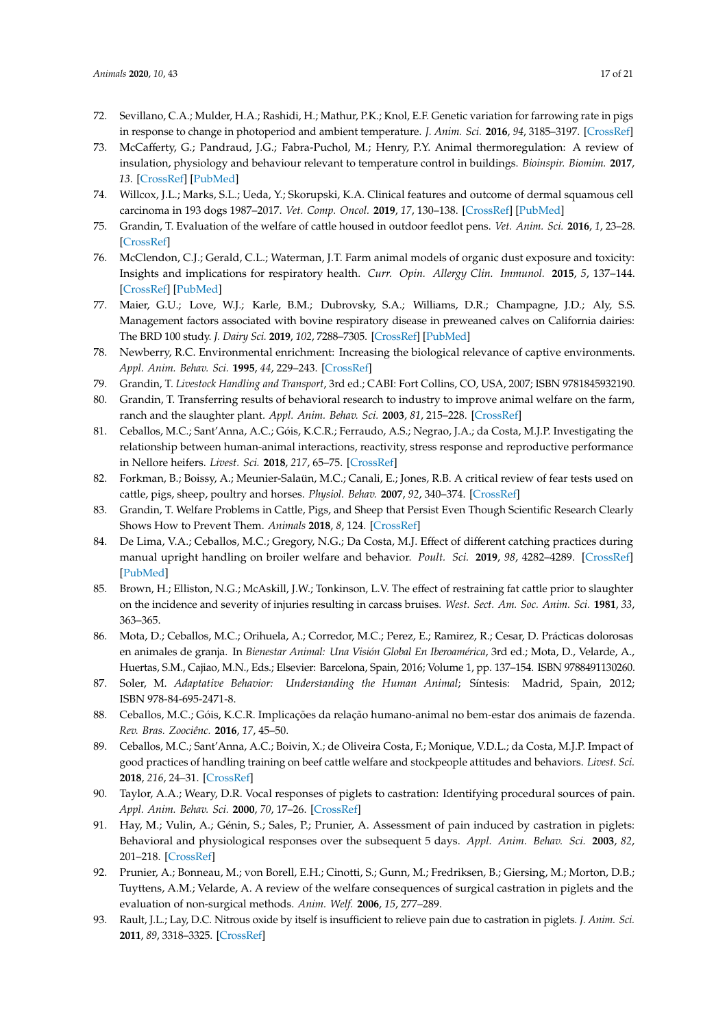- <span id="page-16-21"></span><span id="page-16-0"></span>72. Sevillano, C.A.; Mulder, H.A.; Rashidi, H.; Mathur, P.K.; Knol, E.F. Genetic variation for farrowing rate in pigs in response to change in photoperiod and ambient temperature. *J. Anim. Sci.* **2016**, *94*, 3185–3197. [\[CrossRef\]](http://dx.doi.org/10.2527/jas.2015-9915)
- <span id="page-16-1"></span>73. McCafferty, G.; Pandraud, J.G.; Fabra-Puchol, M.; Henry, P.Y. Animal thermoregulation: A review of insulation, physiology and behaviour relevant to temperature control in buildings. *Bioinspir. Biomim.* **2017**, *13*. [\[CrossRef\]](http://dx.doi.org/10.1088/1748-3190/aa9a12) [\[PubMed\]](http://www.ncbi.nlm.nih.gov/pubmed/29130885)
- <span id="page-16-22"></span><span id="page-16-2"></span>74. Willcox, J.L.; Marks, S.L.; Ueda, Y.; Skorupski, K.A. Clinical features and outcome of dermal squamous cell carcinoma in 193 dogs 1987–2017. *Vet. Comp. Oncol.* **2019**, *17*, 130–138. [\[CrossRef\]](http://dx.doi.org/10.1111/vco.12461) [\[PubMed\]](http://www.ncbi.nlm.nih.gov/pubmed/30684311)
- <span id="page-16-3"></span>75. Grandin, T. Evaluation of the welfare of cattle housed in outdoor feedlot pens. *Vet. Anim. Sci.* **2016**, *1*, 23–28. [\[CrossRef\]](http://dx.doi.org/10.1016/j.vas.2016.11.001)
- <span id="page-16-4"></span>76. McClendon, C.J.; Gerald, C.L.; Waterman, J.T. Farm animal models of organic dust exposure and toxicity: Insights and implications for respiratory health. *Curr. Opin. Allergy Clin. Immunol.* **2015**, *5*, 137–144. [\[CrossRef\]](http://dx.doi.org/10.1097/ACI.0000000000000143) [\[PubMed\]](http://www.ncbi.nlm.nih.gov/pubmed/25636160)
- <span id="page-16-5"></span>77. Maier, G.U.; Love, W.J.; Karle, B.M.; Dubrovsky, S.A.; Williams, D.R.; Champagne, J.D.; Aly, S.S. Management factors associated with bovine respiratory disease in preweaned calves on California dairies: The BRD 100 study. *J. Dairy Sci.* **2019**, *102*, 7288–7305. [\[CrossRef\]](http://dx.doi.org/10.3168/jds.2018-14773) [\[PubMed\]](http://www.ncbi.nlm.nih.gov/pubmed/31202656)
- <span id="page-16-6"></span>78. Newberry, R.C. Environmental enrichment: Increasing the biological relevance of captive environments. *Appl. Anim. Behav. Sci.* **1995**, *44*, 229–243. [\[CrossRef\]](http://dx.doi.org/10.1016/0168-1591(95)00616-Z)
- <span id="page-16-7"></span>79. Grandin, T. *Livestock Handling and Transport*, 3rd ed.; CABI: Fort Collins, CO, USA, 2007; ISBN 9781845932190.
- <span id="page-16-8"></span>80. Grandin, T. Transferring results of behavioral research to industry to improve animal welfare on the farm, ranch and the slaughter plant. *Appl. Anim. Behav. Sci.* **2003**, *81*, 215–228. [\[CrossRef\]](http://dx.doi.org/10.1016/S0168-1591(02)00282-4)
- <span id="page-16-9"></span>81. Ceballos, M.C.; Sant'Anna, A.C.; Góis, K.C.R.; Ferraudo, A.S.; Negrao, J.A.; da Costa, M.J.P. Investigating the relationship between human-animal interactions, reactivity, stress response and reproductive performance in Nellore heifers. *Livest. Sci.* **2018**, *217*, 65–75. [\[CrossRef\]](http://dx.doi.org/10.1016/j.livsci.2018.08.001)
- <span id="page-16-10"></span>82. Forkman, B.; Boissy, A.; Meunier-Salaün, M.C.; Canali, E.; Jones, R.B. A critical review of fear tests used on cattle, pigs, sheep, poultry and horses. *Physiol. Behav.* **2007**, *92*, 340–374. [\[CrossRef\]](http://dx.doi.org/10.1016/j.physbeh.2007.03.016)
- <span id="page-16-11"></span>83. Grandin, T. Welfare Problems in Cattle, Pigs, and Sheep that Persist Even Though Scientific Research Clearly Shows How to Prevent Them. *Animals* **2018**, *8*, 124. [\[CrossRef\]](http://dx.doi.org/10.3390/ani8070124)
- <span id="page-16-12"></span>84. De Lima, V.A.; Ceballos, M.C.; Gregory, N.G.; Da Costa, M.J. Effect of different catching practices during manual upright handling on broiler welfare and behavior. *Poult. Sci.* **2019**, *98*, 4282–4289. [\[CrossRef\]](http://dx.doi.org/10.3382/ps/pez284) [\[PubMed\]](http://www.ncbi.nlm.nih.gov/pubmed/31152676)
- <span id="page-16-13"></span>85. Brown, H.; Elliston, N.G.; McAskill, J.W.; Tonkinson, L.V. The effect of restraining fat cattle prior to slaughter on the incidence and severity of injuries resulting in carcass bruises. *West. Sect. Am. Soc. Anim. Sci.* **1981**, *33*, 363–365.
- <span id="page-16-14"></span>86. Mota, D.; Ceballos, M.C.; Orihuela, A.; Corredor, M.C.; Perez, E.; Ramirez, R.; Cesar, D. Prácticas dolorosas en animales de granja. In *Bienestar Animal: Una Visión Global En Iberoamérica*, 3rd ed.; Mota, D., Velarde, A., Huertas, S.M., Cajiao, M.N., Eds.; Elsevier: Barcelona, Spain, 2016; Volume 1, pp. 137–154. ISBN 9788491130260.
- <span id="page-16-15"></span>87. Soler, M. *Adaptative Behavior: Understanding the Human Animal*; Síntesis: Madrid, Spain, 2012; ISBN 978-84-695-2471-8.
- <span id="page-16-17"></span>88. Ceballos, M.C.; Góis, K.C.R. Implicações da relação humano-animal no bem-estar dos animais de fazenda. *Rev. Bras. Zoociênc.* **2016**, *17*, 45–50.
- <span id="page-16-16"></span>89. Ceballos, M.C.; Sant'Anna, A.C.; Boivin, X.; de Oliveira Costa, F.; Monique, V.D.L.; da Costa, M.J.P. Impact of good practices of handling training on beef cattle welfare and stockpeople attitudes and behaviors. *Livest. Sci.* **2018**, *216*, 24–31. [\[CrossRef\]](http://dx.doi.org/10.1016/j.livsci.2018.06.019)
- <span id="page-16-18"></span>90. Taylor, A.A.; Weary, D.R. Vocal responses of piglets to castration: Identifying procedural sources of pain. *Appl. Anim. Behav. Sci.* **2000**, *70*, 17–26. [\[CrossRef\]](http://dx.doi.org/10.1016/S0168-1591(00)00143-X)
- <span id="page-16-19"></span>91. Hay, M.; Vulin, A.; Génin, S.; Sales, P.; Prunier, A. Assessment of pain induced by castration in piglets: Behavioral and physiological responses over the subsequent 5 days. *Appl. Anim. Behav. Sci.* **2003**, *82*, 201–218. [\[CrossRef\]](http://dx.doi.org/10.1016/S0168-1591(03)00059-5)
- 92. Prunier, A.; Bonneau, M.; von Borell, E.H.; Cinotti, S.; Gunn, M.; Fredriksen, B.; Giersing, M.; Morton, D.B.; Tuyttens, A.M.; Velarde, A. A review of the welfare consequences of surgical castration in piglets and the evaluation of non-surgical methods. *Anim. Welf.* **2006**, *15*, 277–289.
- <span id="page-16-20"></span>93. Rault, J.L.; Lay, D.C. Nitrous oxide by itself is insufficient to relieve pain due to castration in piglets. *J. Anim. Sci.* **2011**, *89*, 3318–3325. [\[CrossRef\]](http://dx.doi.org/10.2527/jas.2011-4104)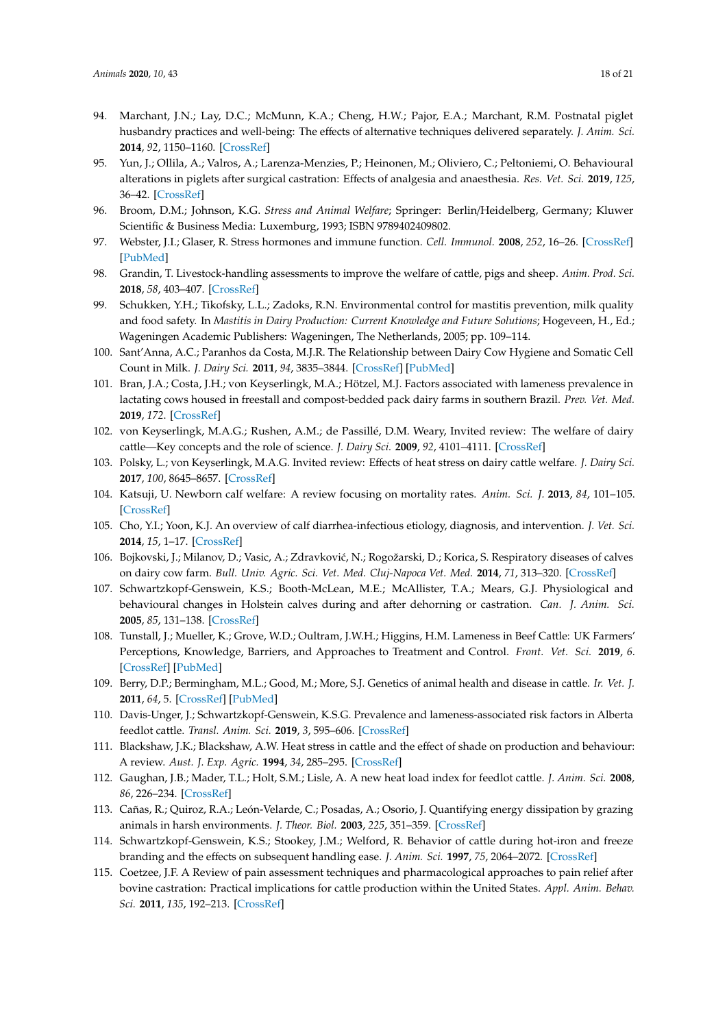- <span id="page-17-22"></span><span id="page-17-21"></span><span id="page-17-8"></span><span id="page-17-7"></span><span id="page-17-6"></span><span id="page-17-5"></span><span id="page-17-0"></span>94. Marchant, J.N.; Lay, D.C.; McMunn, K.A.; Cheng, H.W.; Pajor, E.A.; Marchant, R.M. Postnatal piglet husbandry practices and well-being: The effects of alternative techniques delivered separately. *J. Anim. Sci.* **2014**, *92*, 1150–1160. [\[CrossRef\]](http://dx.doi.org/10.2527/jas.2013-6929)
- <span id="page-17-9"></span><span id="page-17-1"></span>95. Yun, J.; Ollila, A.; Valros, A.; Larenza-Menzies, P.; Heinonen, M.; Oliviero, C.; Peltoniemi, O. Behavioural alterations in piglets after surgical castration: Effects of analgesia and anaesthesia. *Res. Vet. Sci.* **2019**, *125*, 36–42. [\[CrossRef\]](http://dx.doi.org/10.1016/j.rvsc.2019.05.009)
- <span id="page-17-11"></span><span id="page-17-10"></span><span id="page-17-2"></span>96. Broom, D.M.; Johnson, K.G. *Stress and Animal Welfare*; Springer: Berlin/Heidelberg, Germany; Kluwer Scientific & Business Media: Luxemburg, 1993; ISBN 9789402409802.
- <span id="page-17-12"></span><span id="page-17-3"></span>97. Webster, J.I.; Glaser, R. Stress hormones and immune function. *Cell. Immunol.* **2008**, *252*, 16–26. [\[CrossRef\]](http://dx.doi.org/10.1016/j.cellimm.2007.09.006) [\[PubMed\]](http://www.ncbi.nlm.nih.gov/pubmed/18279846)
- <span id="page-17-13"></span><span id="page-17-4"></span>98. Grandin, T. Livestock-handling assessments to improve the welfare of cattle, pigs and sheep. *Anim. Prod. Sci.* **2018**, *58*, 403–407. [\[CrossRef\]](http://dx.doi.org/10.1071/AN16800)
- <span id="page-17-14"></span>99. Schukken, Y.H.; Tikofsky, L.L.; Zadoks, R.N. Environmental control for mastitis prevention, milk quality and food safety. In *Mastitis in Dairy Production: Current Knowledge and Future Solutions*; Hogeveen, H., Ed.; Wageningen Academic Publishers: Wageningen, The Netherlands, 2005; pp. 109–114.
- 100. Sant'Anna, A.C.; Paranhos da Costa, M.J.R. The Relationship between Dairy Cow Hygiene and Somatic Cell Count in Milk. *J. Dairy Sci.* **2011**, *94*, 3835–3844. [\[CrossRef\]](http://dx.doi.org/10.3168/jds.2010-3951) [\[PubMed\]](http://www.ncbi.nlm.nih.gov/pubmed/21787920)
- <span id="page-17-15"></span>101. Bran, J.A.; Costa, J.H.; von Keyserlingk, M.A.; Hötzel, M.J. Factors associated with lameness prevalence in lactating cows housed in freestall and compost-bedded pack dairy farms in southern Brazil. *Prev. Vet. Med.* **2019**, *172*. [\[CrossRef\]](http://dx.doi.org/10.1016/j.prevetmed.2019.104773)
- <span id="page-17-16"></span>102. von Keyserlingk, M.A.G.; Rushen, A.M.; de Passillé, D.M. Weary, Invited review: The welfare of dairy cattle—Key concepts and the role of science. *J. Dairy Sci.* **2009**, *92*, 4101–4111. [\[CrossRef\]](http://dx.doi.org/10.3168/jds.2009-2326)
- <span id="page-17-17"></span>103. Polsky, L.; von Keyserlingk, M.A.G. Invited review: Effects of heat stress on dairy cattle welfare. *J. Dairy Sci.* **2017**, *100*, 8645–8657. [\[CrossRef\]](http://dx.doi.org/10.3168/jds.2017-12651)
- <span id="page-17-18"></span>104. Katsuji, U. Newborn calf welfare: A review focusing on mortality rates. *Anim. Sci. J.* **2013**, *84*, 101–105. [\[CrossRef\]](http://dx.doi.org/10.1111/asj.12019)
- <span id="page-17-19"></span>105. Cho, Y.I.; Yoon, K.J. An overview of calf diarrhea-infectious etiology, diagnosis, and intervention. *J. Vet. Sci.* **2014**, *15*, 1–17. [\[CrossRef\]](http://dx.doi.org/10.4142/jvs.2014.15.1.1)
- <span id="page-17-20"></span>106. Bojkovski, J.; Milanov, D.; Vasic, A.; Zdravković, N.; Rogožarski, D.; Korica, S. Respiratory diseases of calves on dairy cow farm. *Bull. Univ. Agric. Sci. Vet. Med. Cluj-Napoca Vet. Med.* **2014**, *71*, 313–320. [\[CrossRef\]](http://dx.doi.org/10.15835/buasvmcn-vm:10325)
- 107. Schwartzkopf-Genswein, K.S.; Booth-McLean, M.E.; McAllister, T.A.; Mears, G.J. Physiological and behavioural changes in Holstein calves during and after dehorning or castration. *Can. J. Anim. Sci.* **2005**, *85*, 131–138. [\[CrossRef\]](http://dx.doi.org/10.4141/A04-051)
- 108. Tunstall, J.; Mueller, K.; Grove, W.D.; Oultram, J.W.H.; Higgins, H.M. Lameness in Beef Cattle: UK Farmers' Perceptions, Knowledge, Barriers, and Approaches to Treatment and Control. *Front. Vet. Sci.* **2019**, *6*. [\[CrossRef\]](http://dx.doi.org/10.3389/fvets.2019.00094) [\[PubMed\]](http://www.ncbi.nlm.nih.gov/pubmed/30984772)
- 109. Berry, D.P.; Bermingham, M.L.; Good, M.; More, S.J. Genetics of animal health and disease in cattle. *Ir. Vet. J.* **2011**, *64*, 5. [\[CrossRef\]](http://dx.doi.org/10.1186/2046-0481-64-5) [\[PubMed\]](http://www.ncbi.nlm.nih.gov/pubmed/21777492)
- 110. Davis-Unger, J.; Schwartzkopf-Genswein, K.S.G. Prevalence and lameness-associated risk factors in Alberta feedlot cattle. *Transl. Anim. Sci.* **2019**, *3*, 595–606. [\[CrossRef\]](http://dx.doi.org/10.1093/tas/txz008)
- 111. Blackshaw, J.K.; Blackshaw, A.W. Heat stress in cattle and the effect of shade on production and behaviour: A review. *Aust. J. Exp. Agric.* **1994**, *34*, 285–295. [\[CrossRef\]](http://dx.doi.org/10.1071/EA9940285)
- 112. Gaughan, J.B.; Mader, T.L.; Holt, S.M.; Lisle, A. A new heat load index for feedlot cattle. *J. Anim. Sci.* **2008**, *86*, 226–234. [\[CrossRef\]](http://dx.doi.org/10.2527/jas.2007-0305)
- 113. Cañas, R.; Quiroz, R.A.; León-Velarde, C.; Posadas, A.; Osorio, J. Quantifying energy dissipation by grazing animals in harsh environments. *J. Theor. Biol.* **2003**, *225*, 351–359. [\[CrossRef\]](http://dx.doi.org/10.1016/S0022-5193(03)00260-1)
- 114. Schwartzkopf-Genswein, K.S.; Stookey, J.M.; Welford, R. Behavior of cattle during hot-iron and freeze branding and the effects on subsequent handling ease. *J. Anim. Sci.* **1997**, *75*, 2064–2072. [\[CrossRef\]](http://dx.doi.org/10.2527/1997.7582064x)
- 115. Coetzee, J.F. A Review of pain assessment techniques and pharmacological approaches to pain relief after bovine castration: Practical implications for cattle production within the United States. *Appl. Anim. Behav. Sci.* **2011**, *135*, 192–213. [\[CrossRef\]](http://dx.doi.org/10.1016/j.applanim.2011.10.016)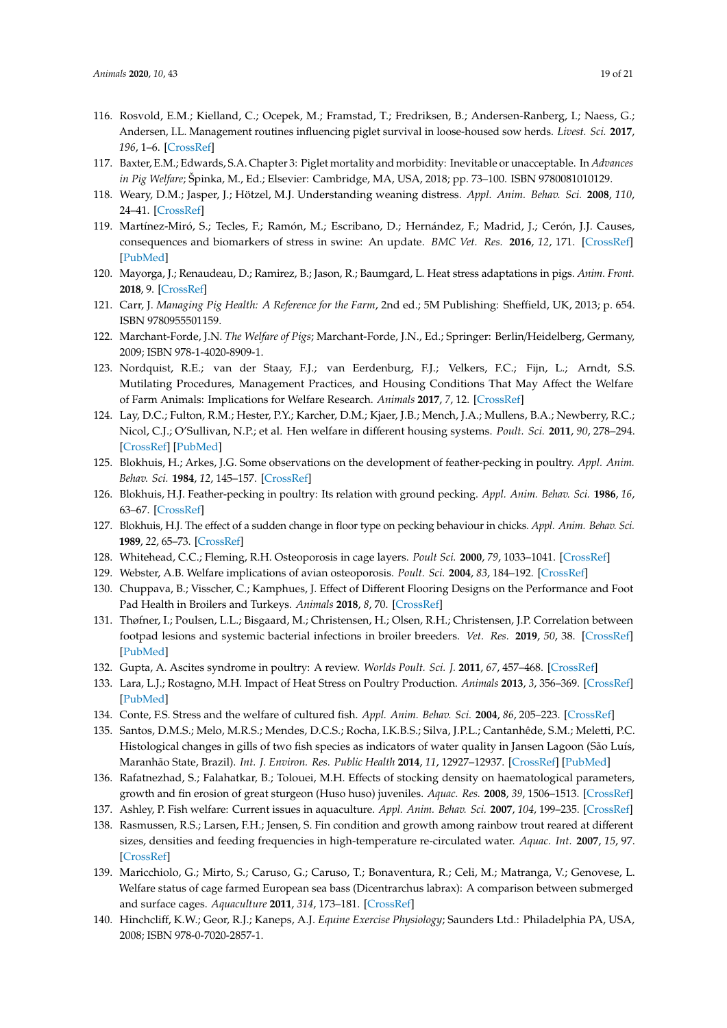- <span id="page-18-8"></span><span id="page-18-7"></span><span id="page-18-6"></span><span id="page-18-5"></span><span id="page-18-4"></span><span id="page-18-3"></span><span id="page-18-2"></span><span id="page-18-1"></span><span id="page-18-0"></span>116. Rosvold, E.M.; Kielland, C.; Ocepek, M.; Framstad, T.; Fredriksen, B.; Andersen-Ranberg, I.; Naess, G.; Andersen, I.L. Management routines influencing piglet survival in loose-housed sow herds. *Livest. Sci.* **2017**, *196*, 1–6. [\[CrossRef\]](http://dx.doi.org/10.1016/j.livsci.2016.12.001)
- <span id="page-18-9"></span>117. Baxter, E.M.; Edwards, S.A. Chapter 3: Piglet mortality and morbidity: Inevitable or unacceptable. In *Advances in Pig Welfare*; Špinka, M., Ed.; Elsevier: Cambridge, MA, USA, 2018; pp. 73–100. ISBN 9780081010129.
- 118. Weary, D.M.; Jasper, J.; Hötzel, M.J. Understanding weaning distress. *Appl. Anim. Behav. Sci.* **2008**, *110*, 24–41. [\[CrossRef\]](http://dx.doi.org/10.1016/j.applanim.2007.03.025)
- <span id="page-18-10"></span>119. Martínez-Miró, S.; Tecles, F.; Ramón, M.; Escribano, D.; Hernández, F.; Madrid, J.; Cerón, J.J. Causes, consequences and biomarkers of stress in swine: An update. *BMC Vet. Res.* **2016**, *12*, 171. [\[CrossRef\]](http://dx.doi.org/10.1186/s12917-016-0791-8) [\[PubMed\]](http://www.ncbi.nlm.nih.gov/pubmed/27543093)
- <span id="page-18-13"></span><span id="page-18-12"></span><span id="page-18-11"></span>120. Mayorga, J.; Renaudeau, D.; Ramirez, B.; Jason, R.; Baumgard, L. Heat stress adaptations in pigs. *Anim. Front.* **2018**, 9. [\[CrossRef\]](http://dx.doi.org/10.1093/af/vfy035)
- <span id="page-18-14"></span>121. Carr, J. *Managing Pig Health: A Reference for the Farm*, 2nd ed.; 5M Publishing: Sheffield, UK, 2013; p. 654. ISBN 9780955501159.
- 122. Marchant-Forde, J.N. *The Welfare of Pigs*; Marchant-Forde, J.N., Ed.; Springer: Berlin/Heidelberg, Germany, 2009; ISBN 978-1-4020-8909-1.
- <span id="page-18-16"></span><span id="page-18-15"></span>123. Nordquist, R.E.; van der Staay, F.J.; van Eerdenburg, F.J.; Velkers, F.C.; Fijn, L.; Arndt, S.S. Mutilating Procedures, Management Practices, and Housing Conditions That May Affect the Welfare of Farm Animals: Implications for Welfare Research. *Animals* **2017**, *7*, 12. [\[CrossRef\]](http://dx.doi.org/10.3390/ani7020012)
- <span id="page-18-18"></span><span id="page-18-17"></span>124. Lay, D.C.; Fulton, R.M.; Hester, P.Y.; Karcher, D.M.; Kjaer, J.B.; Mench, J.A.; Mullens, B.A.; Newberry, R.C.; Nicol, C.J.; O'Sullivan, N.P.; et al. Hen welfare in different housing systems. *Poult. Sci.* **2011**, *90*, 278–294. [\[CrossRef\]](http://dx.doi.org/10.3382/ps.2010-00962) [\[PubMed\]](http://www.ncbi.nlm.nih.gov/pubmed/21177469)
- <span id="page-18-19"></span>125. Blokhuis, H.; Arkes, J.G. Some observations on the development of feather-pecking in poultry. *Appl. Anim. Behav. Sci.* **1984**, *12*, 145–157. [\[CrossRef\]](http://dx.doi.org/10.1016/0168-1591(84)90104-7)
- <span id="page-18-20"></span>126. Blokhuis, H.J. Feather-pecking in poultry: Its relation with ground pecking. *Appl. Anim. Behav. Sci.* **1986**, *16*, 63–67. [\[CrossRef\]](http://dx.doi.org/10.1016/0168-1591(86)90040-7)
- <span id="page-18-21"></span>127. Blokhuis, H.J. The effect of a sudden change in floor type on pecking behaviour in chicks. *Appl. Anim. Behav. Sci.* **1989**, *22*, 65–73. [\[CrossRef\]](http://dx.doi.org/10.1016/0168-1591(89)90080-4)
- <span id="page-18-22"></span>128. Whitehead, C.C.; Fleming, R.H. Osteoporosis in cage layers. *Poult Sci.* **2000**, *79*, 1033–1041. [\[CrossRef\]](http://dx.doi.org/10.1093/ps/79.7.1033)
- 129. Webster, A.B. Welfare implications of avian osteoporosis. *Poult. Sci.* **2004**, *83*, 184–192. [\[CrossRef\]](http://dx.doi.org/10.1093/ps/83.2.184)
- 130. Chuppava, B.; Visscher, C.; Kamphues, J. Effect of Different Flooring Designs on the Performance and Foot Pad Health in Broilers and Turkeys. *Animals* **2018**, *8*, 70. [\[CrossRef\]](http://dx.doi.org/10.3390/ani8050070)
- <span id="page-18-23"></span>131. Thøfner, I.; Poulsen, L.L.; Bisgaard, M.; Christensen, H.; Olsen, R.H.; Christensen, J.P. Correlation between footpad lesions and systemic bacterial infections in broiler breeders. *Vet. Res.* **2019**, *50*, 38. [\[CrossRef\]](http://dx.doi.org/10.1186/s13567-019-0657-8) [\[PubMed\]](http://www.ncbi.nlm.nih.gov/pubmed/31118094)
- 132. Gupta, A. Ascites syndrome in poultry: A review. *Worlds Poult. Sci. J.* **2011**, *67*, 457–468. [\[CrossRef\]](http://dx.doi.org/10.1017/S004393391100050X)
- 133. Lara, L.J.; Rostagno, M.H. Impact of Heat Stress on Poultry Production. *Animals* **2013**, *3*, 356–369. [\[CrossRef\]](http://dx.doi.org/10.3390/ani3020356) [\[PubMed\]](http://www.ncbi.nlm.nih.gov/pubmed/26487407)
- 134. Conte, F.S. Stress and the welfare of cultured fish. *Appl. Anim. Behav. Sci.* **2004**, *86*, 205–223. [\[CrossRef\]](http://dx.doi.org/10.1016/j.applanim.2004.02.003)
- 135. Santos, D.M.S.; Melo, M.R.S.; Mendes, D.C.S.; Rocha, I.K.B.S.; Silva, J.P.L.; Cantanhêde, S.M.; Meletti, P.C. Histological changes in gills of two fish species as indicators of water quality in Jansen Lagoon (São Luís, Maranhão State, Brazil). *Int. J. Environ. Res. Public Health* **2014**, *11*, 12927–12937. [\[CrossRef\]](http://dx.doi.org/10.3390/ijerph111212927) [\[PubMed\]](http://www.ncbi.nlm.nih.gov/pubmed/25514148)
- 136. Rafatnezhad, S.; Falahatkar, B.; Tolouei, M.H. Effects of stocking density on haematological parameters, growth and fin erosion of great sturgeon (Huso huso) juveniles. *Aquac. Res.* **2008**, *39*, 1506–1513. [\[CrossRef\]](http://dx.doi.org/10.1111/j.1365-2109.2008.02020.x)
- 137. Ashley, P. Fish welfare: Current issues in aquaculture. *Appl. Anim. Behav. Sci.* **2007**, *104*, 199–235. [\[CrossRef\]](http://dx.doi.org/10.1016/j.applanim.2006.09.001)
- 138. Rasmussen, R.S.; Larsen, F.H.; Jensen, S. Fin condition and growth among rainbow trout reared at different sizes, densities and feeding frequencies in high-temperature re-circulated water. *Aquac. Int.* **2007**, *15*, 97. [\[CrossRef\]](http://dx.doi.org/10.1007/s10499-006-9070-1)
- 139. Maricchiolo, G.; Mirto, S.; Caruso, G.; Caruso, T.; Bonaventura, R.; Celi, M.; Matranga, V.; Genovese, L. Welfare status of cage farmed European sea bass (Dicentrarchus labrax): A comparison between submerged and surface cages. *Aquaculture* **2011**, *314*, 173–181. [\[CrossRef\]](http://dx.doi.org/10.1016/j.aquaculture.2011.02.001)
- 140. Hinchcliff, K.W.; Geor, R.J.; Kaneps, A.J. *Equine Exercise Physiology*; Saunders Ltd.: Philadelphia PA, USA, 2008; ISBN 978-0-7020-2857-1.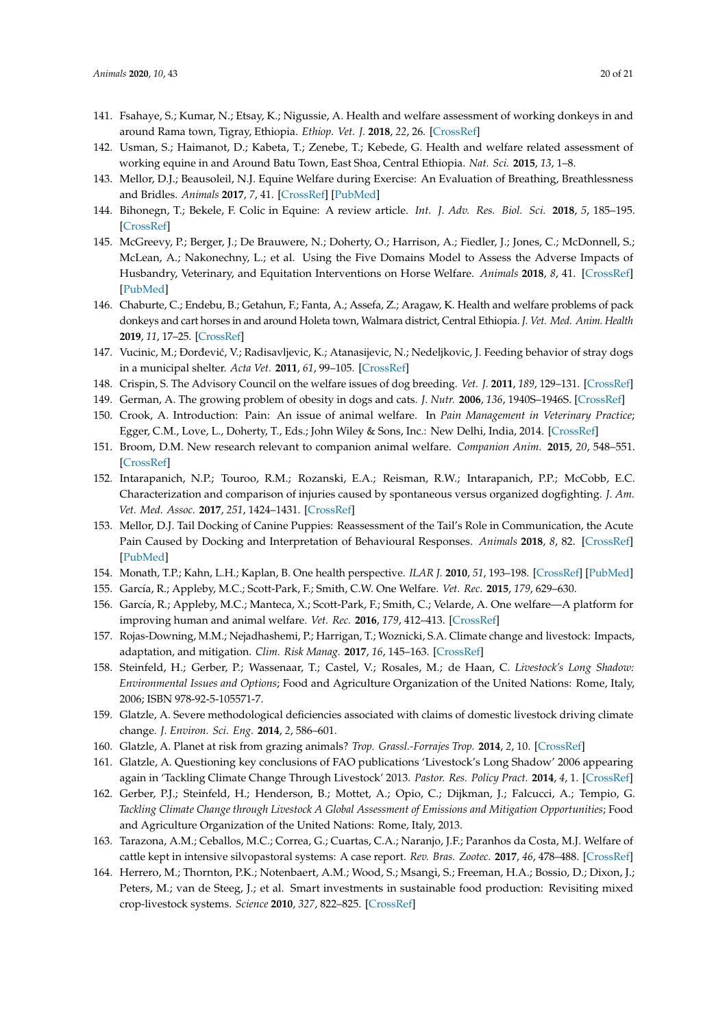- <span id="page-19-9"></span><span id="page-19-8"></span><span id="page-19-7"></span><span id="page-19-6"></span><span id="page-19-5"></span><span id="page-19-4"></span><span id="page-19-3"></span><span id="page-19-2"></span><span id="page-19-1"></span><span id="page-19-0"></span>141. Fsahaye, S.; Kumar, N.; Etsay, K.; Nigussie, A. Health and welfare assessment of working donkeys in and around Rama town, Tigray, Ethiopia. *Ethiop. Vet. J.* **2018**, *22*, 26. [\[CrossRef\]](http://dx.doi.org/10.4314/evj.v22i1.3)
- <span id="page-19-10"></span>142. Usman, S.; Haimanot, D.; Kabeta, T.; Zenebe, T.; Kebede, G. Health and welfare related assessment of working equine in and Around Batu Town, East Shoa, Central Ethiopia. *Nat. Sci.* **2015**, *13*, 1–8.
- <span id="page-19-11"></span>143. Mellor, D.J.; Beausoleil, N.J. Equine Welfare during Exercise: An Evaluation of Breathing, Breathlessness and Bridles. *Animals* **2017**, *7*, 41. [\[CrossRef\]](http://dx.doi.org/10.3390/ani7060041) [\[PubMed\]](http://www.ncbi.nlm.nih.gov/pubmed/28587125)
- <span id="page-19-12"></span>144. Bihonegn, T.; Bekele, F. Colic in Equine: A review article. *Int. J. Adv. Res. Biol. Sci.* **2018**, *5*, 185–195. [\[CrossRef\]](http://dx.doi.org/10.22192/ijarbs.2018.05.05.019)
- 145. McGreevy, P.; Berger, J.; De Brauwere, N.; Doherty, O.; Harrison, A.; Fiedler, J.; Jones, C.; McDonnell, S.; McLean, A.; Nakonechny, L.; et al. Using the Five Domains Model to Assess the Adverse Impacts of Husbandry, Veterinary, and Equitation Interventions on Horse Welfare. *Animals* **2018**, *8*, 41. [\[CrossRef\]](http://dx.doi.org/10.3390/ani8030041) [\[PubMed\]](http://www.ncbi.nlm.nih.gov/pubmed/29562654)
- 146. Chaburte, C.; Endebu, B.; Getahun, F.; Fanta, A.; Assefa, Z.; Aragaw, K. Health and welfare problems of pack donkeys and cart horses in and around Holeta town, Walmara district, Central Ethiopia. *J. Vet. Med. Anim. Health* **2019**, *11*, 17–25. [\[CrossRef\]](http://dx.doi.org/10.5897/JVMAH2017.0647)
- 147. Vucinic, M.; Đorđević, V.; Radisavljevic, K.; Atanasijevic, N.; Nedeljkovic, J. Feeding behavior of stray dogs in a municipal shelter. *Acta Vet.* **2011**, *61*, 99–105. [\[CrossRef\]](http://dx.doi.org/10.2298/AVB1101099V)
- 148. Crispin, S. The Advisory Council on the welfare issues of dog breeding. *Vet. J.* **2011**, *189*, 129–131. [\[CrossRef\]](http://dx.doi.org/10.1016/j.tvjl.2011.06.008)
- 149. German, A. The growing problem of obesity in dogs and cats. *J. Nutr.* **2006**, *136*, 1940S–1946S. [\[CrossRef\]](http://dx.doi.org/10.1093/jn/136.7.1940S)
- 150. Crook, A. Introduction: Pain: An issue of animal welfare. In *Pain Management in Veterinary Practice*; Egger, C.M., Love, L., Doherty, T., Eds.; John Wiley & Sons, Inc.: New Delhi, India, 2014. [\[CrossRef\]](http://dx.doi.org/10.1002/9781118999196.ch1)
- 151. Broom, D.M. New research relevant to companion animal welfare. *Companion Anim.* **2015**, *20*, 548–551. [\[CrossRef\]](http://dx.doi.org/10.12968/coan.2015.20.10.548)
- 152. Intarapanich, N.P.; Touroo, R.M.; Rozanski, E.A.; Reisman, R.W.; Intarapanich, P.P.; McCobb, E.C. Characterization and comparison of injuries caused by spontaneous versus organized dogfighting. *J. Am. Vet. Med. Assoc.* **2017**, *251*, 1424–1431. [\[CrossRef\]](http://dx.doi.org/10.2460/javma.251.12.1424)
- 153. Mellor, D.J. Tail Docking of Canine Puppies: Reassessment of the Tail's Role in Communication, the Acute Pain Caused by Docking and Interpretation of Behavioural Responses. *Animals* **2018**, *8*, 82. [\[CrossRef\]](http://dx.doi.org/10.3390/ani8060082) [\[PubMed\]](http://www.ncbi.nlm.nih.gov/pubmed/29857482)
- <span id="page-19-13"></span>154. Monath, T.P.; Kahn, L.H.; Kaplan, B. One health perspective. *ILAR J.* **2010**, *51*, 193–198. [\[CrossRef\]](http://dx.doi.org/10.1093/ilar.51.3.193) [\[PubMed\]](http://www.ncbi.nlm.nih.gov/pubmed/21131719)
- <span id="page-19-14"></span>155. García, R.; Appleby, M.C.; Scott-Park, F.; Smith, C.W. One Welfare. *Vet. Rec.* **2015**, *179*, 629–630.
- <span id="page-19-15"></span>156. García, R.; Appleby, M.C.; Manteca, X.; Scott-Park, F.; Smith, C.; Velarde, A. One welfare—A platform for improving human and animal welfare. *Vet. Rec.* **2016**, *179*, 412–413. [\[CrossRef\]](http://dx.doi.org/10.1136/vr.i5470)
- <span id="page-19-16"></span>157. Rojas-Downing, M.M.; Nejadhashemi, P.; Harrigan, T.; Woznicki, S.A. Climate change and livestock: Impacts, adaptation, and mitigation. *Clim. Risk Manag.* **2017**, *16*, 145–163. [\[CrossRef\]](http://dx.doi.org/10.1016/j.crm.2017.02.001)
- <span id="page-19-17"></span>158. Steinfeld, H.; Gerber, P.; Wassenaar, T.; Castel, V.; Rosales, M.; de Haan, C. *Livestock's Long Shadow: Environmental Issues and Options*; Food and Agriculture Organization of the United Nations: Rome, Italy, 2006; ISBN 978-92-5-105571-7.
- <span id="page-19-18"></span>159. Glatzle, A. Severe methodological deficiencies associated with claims of domestic livestock driving climate change. *J. Environ. Sci. Eng.* **2014**, *2*, 586–601.
- 160. Glatzle, A. Planet at risk from grazing animals? *Trop. Grassl.-Forrajes Trop.* **2014**, *2*, 10. [\[CrossRef\]](http://dx.doi.org/10.17138/TGFT(2)60-62)
- 161. Glatzle, A. Questioning key conclusions of FAO publications 'Livestock's Long Shadow' 2006 appearing again in 'Tackling Climate Change Through Livestock' 2013. *Pastor. Res. Policy Pract.* **2014**, *4*, 1. [\[CrossRef\]](http://dx.doi.org/10.1186/2041-7136-4-1)
- <span id="page-19-19"></span>162. Gerber, P.J.; Steinfeld, H.; Henderson, B.; Mottet, A.; Opio, C.; Dijkman, J.; Falcucci, A.; Tempio, G. *Tackling Climate Change through Livestock A Global Assessment of Emissions and Mitigation Opportunities*; Food and Agriculture Organization of the United Nations: Rome, Italy, 2013.
- <span id="page-19-20"></span>163. Tarazona, A.M.; Ceballos, M.C.; Correa, G.; Cuartas, C.A.; Naranjo, J.F.; Paranhos da Costa, M.J. Welfare of cattle kept in intensive silvopastoral systems: A case report. *Rev. Bras. Zootec.* **2017**, *46*, 478–488. [\[CrossRef\]](http://dx.doi.org/10.1590/s1806-92902017000600002)
- <span id="page-19-21"></span>164. Herrero, M.; Thornton, P.K.; Notenbaert, A.M.; Wood, S.; Msangi, S.; Freeman, H.A.; Bossio, D.; Dixon, J.; Peters, M.; van de Steeg, J.; et al. Smart investments in sustainable food production: Revisiting mixed crop-livestock systems. *Science* **2010**, *327*, 822–825. [\[CrossRef\]](http://dx.doi.org/10.1126/science.1183725)